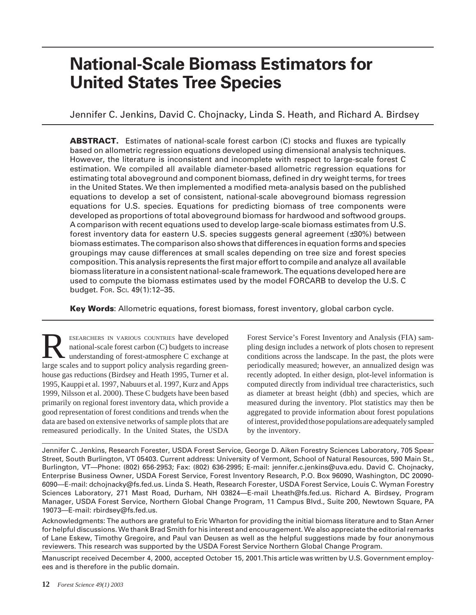# **National-Scale Biomass Estimators for United States Tree Species**

Jennifer C. Jenkins, David C. Chojnacky, Linda S. Heath, and Richard A. Birdsey

**ABSTRACT.** Estimates of national-scale forest carbon (C) stocks and fluxes are typically based on allometric regression equations developed using dimensional analysis techniques. However, the literature is inconsistent and incomplete with respect to large-scale forest C estimation. We compiled all available diameter-based allometric regression equations for estimating total aboveground and component biomass, defined in dry weight terms, for trees in the United States. We then implemented a modified meta-analysis based on the published equations to develop a set of consistent, national-scale aboveground biomass regression equations for U.S. species. Equations for predicting biomass of tree components were developed as proportions of total aboveground biomass for hardwood and softwood groups. A comparison with recent equations used to develop large-scale biomass estimates from U.S. forest inventory data for eastern U.S. species suggests general agreement (±30%) between biomass estimates. The comparison also shows that differences in equation forms and species groupings may cause differences at small scales depending on tree size and forest species composition. This analysis represents the first major effort to compile and analyze all available biomass literature in a consistent national-scale framework. The equations developed here are used to compute the biomass estimates used by the model FORCARB to develop the U.S. C budget. FOR. SCI. 49(1):12–35.

**Key Words**: Allometric equations, forest biomass, forest inventory, global carbon cycle.

ESEARCHERS IN VARIOUS COUNTRIES have developed national-scale forest carbon (C) budgets to increase understanding of forest-atmosphere C exchange at large scales and to support policy analysis regarding greenhouse gas reductions (Birdsey and Heath 1995, Turner et al. 1995, Kauppi et al. 1997, Nabuurs et al. 1997, Kurz and Apps 1999, Nilsson et al. 2000). These C budgets have been based primarily on regional forest inventory data, which provide a good representation of forest conditions and trends when the data are based on extensive networks of sample plots that are remeasured periodically. In the United States, the USDA

Forest Service's Forest Inventory and Analysis (FIA) sampling design includes a network of plots chosen to represent conditions across the landscape. In the past, the plots were periodically measured; however, an annualized design was recently adopted. In either design, plot-level information is computed directly from individual tree characteristics, such as diameter at breast height (dbh) and species, which are measured during the inventory. Plot statistics may then be aggregated to provide information about forest populations of interest, provided those populations are adequately sampled by the inventory.

Jennifer C. Jenkins, Research Forester, USDA Forest Service, George D. Aiken Forestry Sciences Laboratory, 705 Spear Street, South Burlington, VT 05403. Current address: University of Vermont, School of Natural Resources, 590 Main St., Burlington, VT—Phone: (802) 656-2953; Fax: (802) 636-2995; E-mail: jennifer.c.jenkins@uva.edu. David C. Chojnacky, Enterprise Business Owner, USDA Forest Service, Forest Inventory Research, P.O. Box 96090, Washington, DC 20090- 6090—E-mail: dchojnacky@fs.fed.us. Linda S. Heath, Research Forester, USDA Forest Service, Louis C. Wyman Forestry Sciences Laboratory, 271 Mast Road, Durham, NH 03824—E-mail Lheath@fs.fed.us. Richard A. Birdsey, Program Manager, USDA Forest Service, Northern Global Change Program, 11 Campus Blvd., Suite 200, Newtown Square, PA 19073—E-mail: rbirdsey@fs.fed.us.

Acknowledgments: The authors are grateful to Eric Wharton for providing the initial biomass literature and to Stan Arner for helpful discussions. We thank Brad Smith for his interest and encouragement. We also appreciate the editorial remarks of Lane Eskew, Timothy Gregoire, and Paul van Deusen as well as the helpful suggestions made by four anonymous reviewers. This research was supported by the USDA Forest Service Northern Global Change Program.

Manuscript received December 4, 2000, accepted October 15, 2001.This article was written by U.S. Government employees and is therefore in the public domain.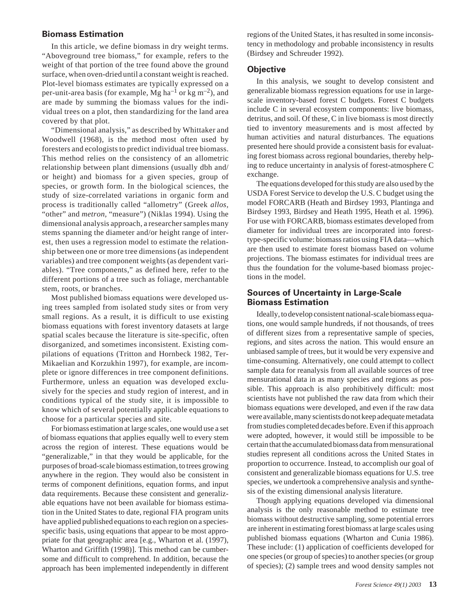#### **Biomass Estimation**

In this article, we define biomass in dry weight terms. "Aboveground tree biomass," for example, refers to the weight of that portion of the tree found above the ground surface, when oven-dried until a constant weight is reached. Plot-level biomass estimates are typically expressed on a per-unit-area basis (for example, Mg ha<sup>-1</sup> or kg m<sup>-2</sup>), and are made by summing the biomass values for the individual trees on a plot, then standardizing for the land area covered by that plot.

"Dimensional analysis," as described by Whittaker and Woodwell (1968), is the method most often used by foresters and ecologists to predict individual tree biomass. This method relies on the consistency of an allometric relationship between plant dimensions (usually dbh and/ or height) and biomass for a given species, group of species, or growth form. In the biological sciences, the study of size-correlated variations in organic form and process is traditionally called "allometry" (Greek *allos,* "other" and *metron,* "measure") (Niklas 1994). Using the dimensional analysis approach, a researcher samples many stems spanning the diameter and/or height range of interest, then uses a regression model to estimate the relationship between one or more tree dimensions (as independent variables) and tree component weights (as dependent variables). "Tree components," as defined here, refer to the different portions of a tree such as foliage, merchantable stem, roots, or branches.

Most published biomass equations were developed using trees sampled from isolated study sites or from very small regions. As a result, it is difficult to use existing biomass equations with forest inventory datasets at large spatial scales because the literature is site-specific, often disorganized, and sometimes inconsistent. Existing compilations of equations (Tritton and Hornbeck 1982, Ter-Mikaelian and Korzukhin 1997), for example, are incomplete or ignore differences in tree component definitions. Furthermore, unless an equation was developed exclusively for the species and study region of interest, and in conditions typical of the study site, it is impossible to know which of several potentially applicable equations to choose for a particular species and site.

For biomass estimation at large scales, one would use a set of biomass equations that applies equally well to every stem across the region of interest. These equations would be "generalizable," in that they would be applicable, for the purposes of broad-scale biomass estimation, to trees growing anywhere in the region. They would also be consistent in terms of component definitions, equation forms, and input data requirements. Because these consistent and generalizable equations have not been available for biomass estimation in the United States to date, regional FIA program units have applied published equations to each region on a speciesspecific basis, using equations that appear to be most appropriate for that geographic area [e.g., Wharton et al. (1997), Wharton and Griffith (1998)]. This method can be cumbersome and difficult to comprehend. In addition, because the approach has been implemented independently in different

regions of the United States, it has resulted in some inconsistency in methodology and probable inconsistency in results (Birdsey and Schreuder 1992).

#### **Objective**

In this analysis, we sought to develop consistent and generalizable biomass regression equations for use in largescale inventory-based forest C budgets. Forest C budgets include C in several ecosystem components: live biomass, detritus, and soil. Of these, C in live biomass is most directly tied to inventory measurements and is most affected by human activities and natural disturbances. The equations presented here should provide a consistent basis for evaluating forest biomass across regional boundaries, thereby helping to reduce uncertainty in analysis of forest-atmosphere C exchange.

The equations developed for this study are also used by the USDA Forest Service to develop the U.S. C budget using the model FORCARB (Heath and Birdsey 1993, Plantinga and Birdsey 1993, Birdsey and Heath 1995, Heath et al. 1996). For use with FORCARB, biomass estimates developed from diameter for individual trees are incorporated into foresttype-specific volume: biomass ratios using FIA data—which are then used to estimate forest biomass based on volume projections. The biomass estimates for individual trees are thus the foundation for the volume-based biomass projections in the model.

#### **Sources of Uncertainty in Large-Scale Biomass Estimation**

Ideally, to develop consistent national-scale biomass equations, one would sample hundreds, if not thousands, of trees of different sizes from a representative sample of species, regions, and sites across the nation. This would ensure an unbiased sample of trees, but it would be very expensive and time-consuming. Alternatively, one could attempt to collect sample data for reanalysis from all available sources of tree mensurational data in as many species and regions as possible. This approach is also prohibitively difficult: most scientists have not published the raw data from which their biomass equations were developed, and even if the raw data were available, many scientists do not keep adequate metadata from studies completed decades before. Even if this approach were adopted, however, it would still be impossible to be certain that the accumulated biomass data from mensurational studies represent all conditions across the United States in proportion to occurrence. Instead, to accomplish our goal of consistent and generalizable biomass equations for U.S. tree species, we undertook a comprehensive analysis and synthesis of the existing dimensional analysis literature.

Though applying equations developed via dimensional analysis is the only reasonable method to estimate tree biomass without destructive sampling, some potential errors are inherent in estimating forest biomass at large scales using published biomass equations (Wharton and Cunia 1986). These include: (1) application of coefficients developed for one species (or group of species) to another species (or group of species); (2) sample trees and wood density samples not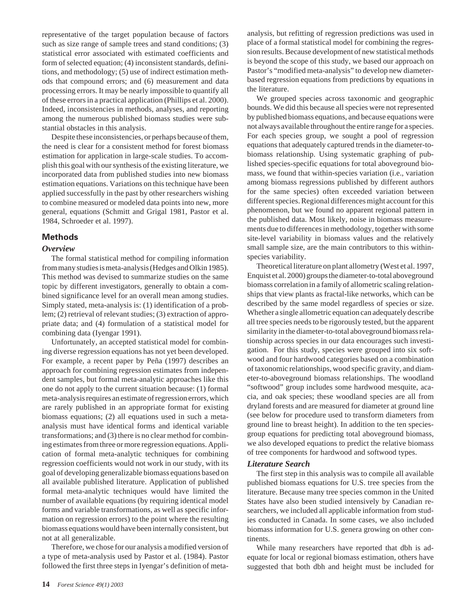representative of the target population because of factors such as size range of sample trees and stand conditions; (3) statistical error associated with estimated coefficients and form of selected equation; (4) inconsistent standards, definitions, and methodology; (5) use of indirect estimation methods that compound errors; and (6) measurement and data processing errors. It may be nearly impossible to quantify all of these errors in a practical application (Phillips et al. 2000). Indeed, inconsistencies in methods, analyses, and reporting among the numerous published biomass studies were substantial obstacles in this analysis.

Despite these inconsistencies, or perhaps because of them, the need is clear for a consistent method for forest biomass estimation for application in large-scale studies. To accomplish this goal with our synthesis of the existing literature, we incorporated data from published studies into new biomass estimation equations. Variations on this technique have been applied successfully in the past by other researchers wishing to combine measured or modeled data points into new, more general, equations (Schmitt and Grigal 1981, Pastor et al. 1984, Schroeder et al. 1997).

#### **Methods**

#### *Overview*

The formal statistical method for compiling information from many studies is meta-analysis (Hedges and Olkin 1985). This method was devised to summarize studies on the same topic by different investigators, generally to obtain a combined significance level for an overall mean among studies. Simply stated, meta-analysis is: (1) identification of a problem; (2) retrieval of relevant studies; (3) extraction of appropriate data; and (4) formulation of a statistical model for combining data (Iyengar 1991).

Unfortunately, an accepted statistical model for combining diverse regression equations has not yet been developed. For example, a recent paper by Peña (1997) describes an approach for combining regression estimates from independent samples, but formal meta-analytic approaches like this one do not apply to the current situation because: (1) formal meta-analysis requires an estimate of regression errors, which are rarely published in an appropriate format for existing biomass equations; (2) all equations used in such a metaanalysis must have identical forms and identical variable transformations; and (3) there is no clear method for combining estimates from three or more regression equations. Application of formal meta-analytic techniques for combining regression coefficients would not work in our study, with its goal of developing generalizable biomass equations based on all available published literature. Application of published formal meta-analytic techniques would have limited the number of available equations (by requiring identical model forms and variable transformations, as well as specific information on regression errors) to the point where the resulting biomass equations would have been internally consistent, but not at all generalizable.

Therefore, we chose for our analysis a modified version of a type of meta-analysis used by Pastor et al. (1984). Pastor followed the first three steps in Iyengar's definition of meta-

analysis, but refitting of regression predictions was used in place of a formal statistical model for combining the regression results. Because development of new statistical methods is beyond the scope of this study, we based our approach on Pastor's "modified meta-analysis" to develop new diameterbased regression equations from predictions by equations in the literature.

We grouped species across taxonomic and geographic bounds. We did this because all species were not represented by published biomass equations, and because equations were not always available throughout the entire range for a species. For each species group, we sought a pool of regression equations that adequately captured trends in the diameter-tobiomass relationship. Using systematic graphing of published species-specific equations for total aboveground biomass, we found that within-species variation (i.e., variation among biomass regressions published by different authors for the same species) often exceeded variation between different species. Regional differences might account for this phenomenon, but we found no apparent regional pattern in the published data. Most likely, noise in biomass measurements due to differences in methodology, together with some site-level variability in biomass values and the relatively small sample size, are the main contributors to this withinspecies variability.

Theoretical literature on plant allometry (West et al. 1997, Enquist et al. 2000) groups the diameter-to-total aboveground biomass correlation in a family of allometric scaling relationships that view plants as fractal-like networks, which can be described by the same model regardless of species or size. Whether a single allometric equation can adequately describe all tree species needs to be rigorously tested, but the apparent similarity in the diameter-to-total aboveground biomass relationship across species in our data encourages such investigation. For this study, species were grouped into six softwood and four hardwood categories based on a combination of taxonomic relationships, wood specific gravity, and diameter-to-aboveground biomass relationships. The woodland "softwood" group includes some hardwood mesquite, acacia, and oak species; these woodland species are all from dryland forests and are measured for diameter at ground line (see below for procedure used to transform diameters from ground line to breast height). In addition to the ten speciesgroup equations for predicting total aboveground biomass, we also developed equations to predict the relative biomass of tree components for hardwood and softwood types.

#### *Literature Search*

The first step in this analysis was to compile all available published biomass equations for U.S. tree species from the literature. Because many tree species common in the United States have also been studied intensively by Canadian researchers, we included all applicable information from studies conducted in Canada. In some cases, we also included biomass information for U.S. genera growing on other continents.

While many researchers have reported that dbh is adequate for local or regional biomass estimation, others have suggested that both dbh and height must be included for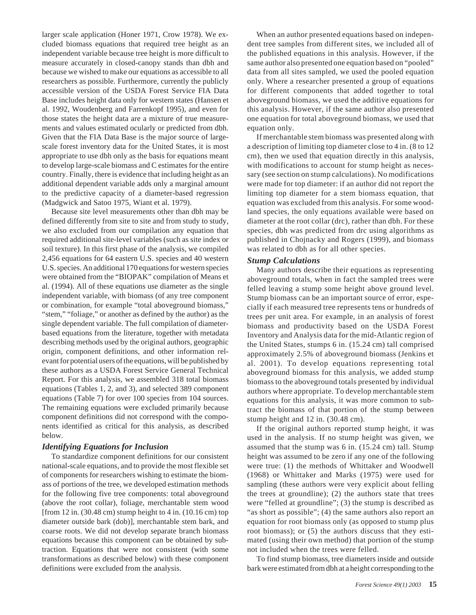larger scale application (Honer 1971, Crow 1978). We excluded biomass equations that required tree height as an independent variable because tree height is more difficult to measure accurately in closed-canopy stands than dbh and because we wished to make our equations as accessible to all researchers as possible. Furthermore, currently the publicly accessible version of the USDA Forest Service FIA Data Base includes height data only for western states (Hansen et al. 1992, Woudenberg and Farrenkopf 1995), and even for those states the height data are a mixture of true measurements and values estimated ocularly or predicted from dbh. Given that the FIA Data Base is the major source of largescale forest inventory data for the United States, it is most appropriate to use dbh only as the basis for equations meant to develop large-scale biomass and C estimates for the entire country. Finally, there is evidence that including height as an additional dependent variable adds only a marginal amount to the predictive capacity of a diameter-based regression (Madgwick and Satoo 1975, Wiant et al. 1979).

Because site level measurements other than dbh may be defined differently from site to site and from study to study, we also excluded from our compilation any equation that required additional site-level variables (such as site index or soil texture). In this first phase of the analysis, we compiled 2,456 equations for 64 eastern U.S. species and 40 western U.S. species. An additional 170 equations for western species were obtained from the "BIOPAK" compilation of Means et al. (1994). All of these equations use diameter as the single independent variable, with biomass (of any tree component or combination, for example "total aboveground biomass," "stem," "foliage," or another as defined by the author) as the single dependent variable. The full compilation of diameterbased equations from the literature, together with metadata describing methods used by the original authors, geographic origin, component definitions, and other information relevant for potential users of the equations, will be published by these authors as a USDA Forest Service General Technical Report. For this analysis, we assembled 318 total biomass equations (Tables 1, 2, and 3), and selected 389 component equations (Table 7) for over 100 species from 104 sources. The remaining equations were excluded primarily because component definitions did not correspond with the components identified as critical for this analysis, as described below.

#### *Identifying Equations for Inclusion*

To standardize component definitions for our consistent national-scale equations, and to provide the most flexible set of components for researchers wishing to estimate the biomass of portions of the tree, we developed estimation methods for the following five tree components: total aboveground (above the root collar), foliage, merchantable stem wood [from 12 in. (30.48 cm) stump height to  $4$  in. (10.16 cm) top diameter outside bark (dob)], merchantable stem bark, and coarse roots. We did not develop separate branch biomass equations because this component can be obtained by subtraction. Equations that were not consistent (with some transformations as described below) with these component definitions were excluded from the analysis.

When an author presented equations based on independent tree samples from different sites, we included all of the published equations in this analysis. However, if the same author also presented one equation based on "pooled" data from all sites sampled, we used the pooled equation only. Where a researcher presented a group of equations for different components that added together to total aboveground biomass, we used the additive equations for this analysis. However, if the same author also presented one equation for total aboveground biomass, we used that equation only.

If merchantable stem biomass was presented along with a description of limiting top diameter close to 4 in. (8 to 12 cm), then we used that equation directly in this analysis, with modifications to account for stump height as necessary (see section on stump calculations). No modifications were made for top diameter: if an author did not report the limiting top diameter for a stem biomass equation, that equation was excluded from this analysis. For some woodland species, the only equations available were based on diameter at the root collar (drc), rather than dbh. For these species, dbh was predicted from drc using algorithms as published in Chojnacky and Rogers (1999), and biomass was related to dbh as for all other species.

#### *Stump Calculations*

Many authors describe their equations as representing aboveground totals, when in fact the sampled trees were felled leaving a stump some height above ground level. Stump biomass can be an important source of error, especially if each measured tree represents tens or hundreds of trees per unit area. For example, in an analysis of forest biomass and productivity based on the USDA Forest Inventory and Analysis data for the mid-Atlantic region of the United States, stumps 6 in. (15.24 cm) tall comprised approximately 2.5% of aboveground biomass (Jenkins et al. 2001). To develop equations representing total aboveground biomass for this analysis, we added stump biomass to the aboveground totals presented by individual authors where appropriate. To develop merchantable stem equations for this analysis, it was more common to subtract the biomass of that portion of the stump between stump height and 12 in. (30.48 cm).

If the original authors reported stump height, it was used in the analysis. If no stump height was given, we assumed that the stump was 6 in. (15.24 cm) tall. Stump height was assumed to be zero if any one of the following were true: (1) the methods of Whittaker and Woodwell (1968) or Whittaker and Marks (1975) were used for sampling (these authors were very explicit about felling the trees at groundline); (2) the authors state that trees were "felled at groundline"; (3) the stump is described as "as short as possible"; (4) the same authors also report an equation for root biomass only (as opposed to stump plus root biomass); or (5) the authors discuss that they estimated (using their own method) that portion of the stump not included when the trees were felled.

To find stump biomass, tree diameters inside and outside bark were estimated from dbh at a height corresponding to the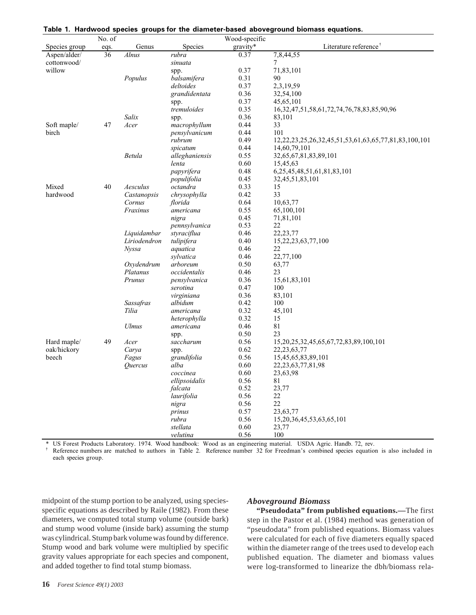|               | No. of |                              |                     | Wood-specific |                                                                      |
|---------------|--------|------------------------------|---------------------|---------------|----------------------------------------------------------------------|
| Species group | eqs.   | Genus                        | Species             | gravity*      | Literature reference <sup>†</sup>                                    |
| Aspen/alder/  | 36     | Alnus                        | rubra               | 0.37          | 7,8,44,55                                                            |
| cottonwood/   |        |                              | sinuata             |               | 7                                                                    |
| willow        |        |                              | spp.                | 0.37          | 71,83,101                                                            |
|               |        | Populus                      | balsamifera         | 0.31          | 90                                                                   |
|               |        |                              | deltoides           | 0.37          | 2,3,19,59                                                            |
|               |        |                              | grandidentata       | 0.36          | 32,54,100                                                            |
|               |        |                              | spp.                | 0.37          | 45,65,101                                                            |
|               |        |                              | tremuloides         | 0.35          | 16, 32, 47, 51, 58, 61, 72, 74, 76, 78, 83, 85, 90, 96               |
|               |        | Salix                        | spp.                | 0.36          | 83,101                                                               |
| Soft maple/   | 47     | Acer                         | macrophyllum        | 0.44          | 33                                                                   |
| birch         |        |                              | pensylvanicum       | 0.44          | 101                                                                  |
|               |        |                              | rubrum              | 0.49          | 12, 22, 23, 25, 26, 32, 45, 51, 53, 61, 63, 65, 77, 81, 83, 100, 101 |
|               |        |                              | spicatum            | 0.44          | 14,60,79,101                                                         |
|               |        | Betula                       | alleghaniensis      | 0.55          | 32,65,67,81,83,89,101                                                |
|               |        |                              | lenta               | 0.60          | 15,45,63                                                             |
|               |        |                              | papyrifera          | 0.48          | 6, 25, 45, 48, 51, 61, 81, 83, 101                                   |
|               |        |                              | populifolia         | 0.45          | 32,45,51,83,101                                                      |
| Mixed         | 40     | Aesculus                     | octandra            | 0.33          | 15                                                                   |
| hardwood      |        | Castanopsis                  | chrysophylla        | 0.42          | 33                                                                   |
|               |        | Cornus                       | florida             | 0.64          | 10,63,77                                                             |
|               |        | Fraxinus                     | americana           | 0.55          | 65,100,101                                                           |
|               |        |                              | nigra               | 0.45          | 71,81,101                                                            |
|               |        |                              | pennsylvanica       | 0.53          | 22                                                                   |
|               |        | Liquidambar                  | styraciflua         | 0.46          | 22, 23, 77                                                           |
|               |        | Liriodendron                 | tulipifera          | 0.40          | 15, 22, 23, 63, 77, 100                                              |
|               |        | Nyssa                        | aquatica            | 0.46          | 22                                                                   |
|               |        |                              | sylvatica           | 0.46          | 22,77,100                                                            |
|               |        | Oxydendrum                   | arboreum            | 0.50          | 63,77                                                                |
|               |        | Platanus                     | occidentalis        | 0.46          | 23                                                                   |
|               |        | Prunus                       | pensylvanica        | 0.36          | 15,61,83,101                                                         |
|               |        |                              | serotina            | 0.47          | 100                                                                  |
|               |        |                              | virginiana          | 0.36          | 83,101                                                               |
|               |        | Sassafras                    | albidum             | 0.42          | 100                                                                  |
|               |        | Tilia                        | americana           | 0.32          | 45,101                                                               |
|               |        |                              | heterophylla        | 0.32          | 15                                                                   |
|               |        | <b>Ulmus</b>                 | americana           | 0.46          | 81                                                                   |
|               |        |                              | spp.                | 0.50          | 23                                                                   |
| Hard maple/   | 49     | Acer                         | saccharum           | 0.56          | 15, 20, 25, 32, 45, 65, 67, 72, 83, 89, 100, 101                     |
| oak/hickory   |        | Carya                        | spp.                | 0.62          | 22, 23, 63, 77                                                       |
| beech         |        | Fagus                        | grandifolia         | 0.56          | 15,45,65,83,89,101                                                   |
|               |        | <i><u><b>Ouercus</b></u></i> | alba                | 0.60          | 22, 23, 63, 77, 81, 98                                               |
|               |        |                              | coccinea            | 0.60          | 23,63,98                                                             |
|               |        |                              | ellipsoidalis       | 0.56          | 81                                                                   |
|               |        |                              | falcata             | 0.52          | 23,77                                                                |
|               |        |                              |                     | 0.56          | 22                                                                   |
|               |        |                              | laurifolia<br>nigra | 0.56          | 22                                                                   |
|               |        |                              | prinus              | 0.57          | 23,63,77                                                             |
|               |        |                              | rubra               | 0.56          | 15, 20, 36, 45, 53, 63, 65, 101                                      |
|               |        |                              | stellata            | 0.60          | 23,77                                                                |
|               |        |                              | velutina            | 0.56          | 100                                                                  |
|               |        |                              |                     |               |                                                                      |

| Table 1. Hardwood species groups for the diameter-based aboveground biomass equations. |  |
|----------------------------------------------------------------------------------------|--|
|----------------------------------------------------------------------------------------|--|

US Forest Products Laboratory. 1974. Wood handbook: Wood as an engineering material. USDA Agric. Handb. 72, rev.

<sup>†</sup> Reference numbers are matched to authors in Table 2. Reference number 32 for Freedman's combined species equation is also included in each species group.

midpoint of the stump portion to be analyzed, using speciesspecific equations as described by Raile (1982). From these diameters, we computed total stump volume (outside bark) and stump wood volume (inside bark) assuming the stump was cylindrical. Stump bark volume was found by difference. Stump wood and bark volume were multiplied by specific gravity values appropriate for each species and component, and added together to find total stump biomass.

#### *Aboveground Biomass*

**"Pseudodata" from published equations.—**The first step in the Pastor et al. (1984) method was generation of "pseudodata" from published equations. Biomass values were calculated for each of five diameters equally spaced within the diameter range of the trees used to develop each published equation. The diameter and biomass values were log-transformed to linearize the dbh/biomass rela-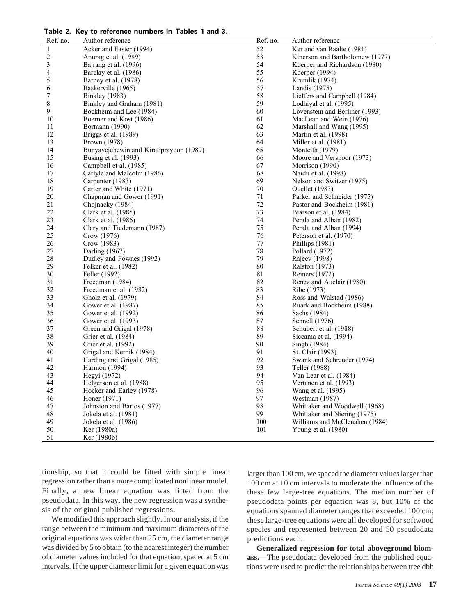**Table 2. Key to reference numbers in Tables 1 and 3.**

| Ref. no.                | Author reference                        | Ref. no. | Author reference                |
|-------------------------|-----------------------------------------|----------|---------------------------------|
| $\mathbf{1}$            | Acker and Easter (1994)                 | 52       | Ker and van Raalte (1981)       |
| $\overline{\mathbf{c}}$ | Anurag et al. (1989)                    | 53       | Kinerson and Bartholomew (1977) |
| 3                       | Bajrang et al. (1996)                   | 54       | Koerper and Richardson (1980)   |
| 4                       | Barclay et al. (1986)                   | 55       | Koerper (1994)                  |
| 5                       | Barney et al. (1978)                    | 56       | Krumlik (1974)                  |
| 6                       | Baskerville (1965)                      | 57       | Landis (1975)                   |
| 7                       | <b>Binkley</b> (1983)                   | 58       | Lieffers and Campbell (1984)    |
| 8                       | Binkley and Graham (1981)               | 59       | Lodhiyal et al. (1995)          |
| 9                       | Bockheim and Lee (1984)                 | 60       | Lovenstein and Berliner (1993)  |
| 10                      | Boerner and Kost (1986)                 | 61       | MacLean and Wein (1976)         |
| 11                      | Bormann (1990)                          | 62       | Marshall and Wang (1995)        |
| 12                      | Briggs et al. (1989)                    | 63       | Martin et al. (1998)            |
| 13                      | Brown (1978)                            | 64       | Miller et al. (1981)            |
| 14                      | Bunyavejchewin and Kiratiprayoon (1989) | 65       | Monteith (1979)                 |
| 15                      | Busing et al. (1993)                    | 66       | Moore and Verspoor (1973)       |
| 16                      | Campbell et al. (1985)                  | 67       | Morrison (1990)                 |
| 17                      | Carlyle and Malcolm (1986)              | 68       | Naidu et al. (1998)             |
| 18                      | Carpenter (1983)                        | 69       | Nelson and Switzer (1975)       |
| 19                      | Carter and White (1971)                 | 70       | <b>Ouellet</b> (1983)           |
| 20                      | Chapman and Gower (1991)                | $71\,$   | Parker and Schneider (1975)     |
| 21                      | Chojnacky (1984)                        | $72\,$   | Pastor and Bockheim (1981)      |
| 22                      | Clark et al. (1985)                     | 73       | Pearson et al. (1984)           |
| 23                      | Clark et al. (1986)                     | $74\,$   | Perala and Alban (1982)         |
| 24                      | Clary and Tiedemann (1987)              | 75       | Perala and Alban (1994)         |
| 25                      | Crow (1976)                             | 76       | Peterson et al. (1970)          |
| 26                      | Crow (1983)                             | $77\,$   | Phillips (1981)                 |
| 27                      | Darling (1967)                          | $78\,$   | Pollard (1972)                  |
| $28\,$                  | Dudley and Fownes (1992)                | 79       | Rajeev (1998)                   |
| 29                      | Felker et al. (1982)                    | $80\,$   | <b>Ralston</b> (1973)           |
| 30                      | Feller (1992)                           | $81\,$   | Reiners (1972)                  |
| 31                      | Freedman (1984)                         | 82       | Rencz and Auclair (1980)        |
| 32                      | Freedman et al. (1982)                  | 83       | Ribe (1973)                     |
| 33                      | Gholz et al. (1979)                     | 84       | Ross and Walstad (1986)         |
| 34                      | Gower et al. (1987)                     | 85       | Ruark and Bockheim (1988)       |
| 35                      | Gower et al. (1992)                     | 86       | Sachs (1984)                    |
| 36                      | Gower et al. (1993)                     | $87\,$   | Schnell (1976)                  |
| 37                      | Green and Grigal (1978)                 | 88       | Schubert et al. (1988)          |
| 38                      | Grier et al. (1984)                     | 89       | Siccama et al. (1994)           |
| 39                      | Grier et al. (1992)                     | 90       | Singh (1984)                    |
| 40                      | Grigal and Kernik (1984)                | 91       | St. Clair (1993)                |
| 41                      | Harding and Grigal (1985)               | 92       | Swank and Schreuder (1974)      |
| 42                      | Harmon (1994)                           | 93       | Teller (1988)                   |
| 43                      | Hegyi (1972)                            | 94       | Van Lear et al. (1984)          |
| 44                      | Helgerson et al. (1988)                 | 95       | Vertanen et al. (1993)          |
| 45                      | Hocker and Earley (1978)                | 96       | Wang et al. (1995)              |
| 46                      | Honer (1971)                            | 97       | Westman (1987)                  |
| 47                      | Johnston and Bartos (1977)              | 98       | Whittaker and Woodwell (1968)   |
| 48                      | Jokela et al. (1981)                    | 99       | Whittaker and Niering (1975)    |
| 49                      | Jokela et al. (1986)                    | 100      | Williams and McClenahen (1984)  |
| 50                      | Ker (1980a)                             | 101      | Young et al. (1980)             |
| 51                      | Ker (1980b)                             |          |                                 |

tionship, so that it could be fitted with simple linear regression rather than a more complicated nonlinear model. Finally, a new linear equation was fitted from the pseudodata. In this way, the new regression was a synthesis of the original published regressions.

We modified this approach slightly. In our analysis, if the range between the minimum and maximum diameters of the original equations was wider than 25 cm, the diameter range was divided by 5 to obtain (to the nearest integer) the number of diameter values included for that equation, spaced at 5 cm intervals. If the upper diameter limit for a given equation was

larger than 100 cm, we spaced the diameter values larger than 100 cm at 10 cm intervals to moderate the influence of the these few large-tree equations. The median number of pseudodata points per equation was 8, but 10% of the equations spanned diameter ranges that exceeded 100 cm; these large-tree equations were all developed for softwood species and represented between 20 and 50 pseudodata predictions each.

**Generalized regression for total aboveground biomass.—**The pseudodata developed from the published equations were used to predict the relationships between tree dbh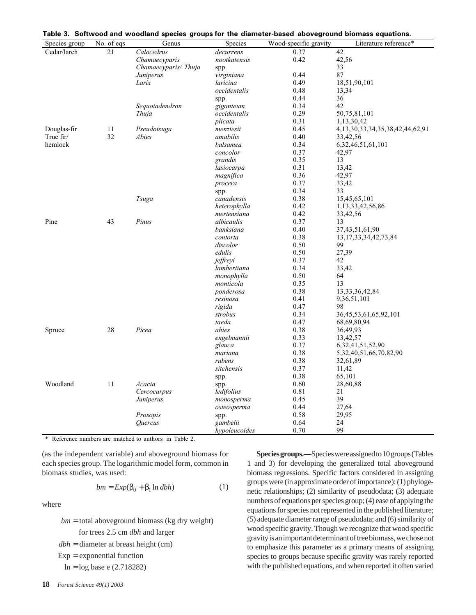| Species group | No. of eqs | Genus               | <b>Species</b> | Wood-specific gravity | Literature reference*                     |
|---------------|------------|---------------------|----------------|-----------------------|-------------------------------------------|
| Cedar/larch   | 21         | Calocedrus          | decurrens      | 0.37                  | 42                                        |
|               |            | Chamaecyparis       | nootkatensis   | 0.42                  | 42,56                                     |
|               |            | Chamaecyparis/Thuja | spp.           |                       | 33                                        |
|               |            | Juniperus           | virginiana     | 0.44                  | 87                                        |
|               |            | Larix               | laricina       | 0.49                  | 18,51,90,101                              |
|               |            |                     | occidentalis   | 0.48                  | 13,34                                     |
|               |            |                     | spp.           | 0.44                  | 36                                        |
|               |            | Sequoiadendron      | giganteum      | 0.34                  | 42                                        |
|               |            | Thuja               | occidentalis   | 0.29                  | 50,75,81,101                              |
|               |            |                     | plicata        | 0.31                  | 1,13,30,42                                |
| Douglas-fir   | 11         | Pseudotsuga         | menziesii      | 0.45                  | 4, 13, 30, 33, 34, 35, 38, 42, 44, 62, 91 |
| True fir/     | 32         | Abies               | amabilis       | 0.40                  | 33,42,56                                  |
| hemlock       |            |                     | balsamea       | 0.34                  | 6,32,46,51,61,101                         |
|               |            |                     | concolor       | 0.37                  | 42,97                                     |
|               |            |                     | grandis        | 0.35                  | 13                                        |
|               |            |                     | lasiocarpa     | 0.31                  | 13,42                                     |
|               |            |                     | magnifica      | 0.36                  | 42,97                                     |
|               |            |                     | procera        | 0.37                  | 33,42                                     |
|               |            |                     | spp.           | 0.34                  | 33                                        |
|               |            | Tsuga               | canadensis     | 0.38                  | 15,45,65,101                              |
|               |            |                     | heterophylla   | 0.42                  | 1, 13, 33, 42, 56, 86                     |
|               |            |                     | mertensiana    | 0.42                  | 33,42,56                                  |
| Pine          | 43         | Pinus               | albicaulis     | 0.37                  | 13                                        |
|               |            |                     | banksiana      | 0.40                  | 37,43,51,61,90                            |
|               |            |                     | contorta       | 0.38                  | 13, 17, 33, 34, 42, 73, 84                |
|               |            |                     | discolor       | 0.50                  | 99                                        |
|               |            |                     | edulis         | 0.50                  | 27,39                                     |
|               |            |                     | jeffreyi       | 0.37                  | 42                                        |
|               |            |                     | lambertiana    | 0.34                  | 33,42                                     |
|               |            |                     | monophylla     | 0.50                  | 64                                        |
|               |            |                     | monticola      | 0.35                  | 13                                        |
|               |            |                     | ponderosa      | 0.38                  | 13, 33, 36, 42, 84                        |
|               |            |                     | resinosa       | 0.41                  | 9,36,51,101                               |
|               |            |                     | rigida         | 0.47                  | 98                                        |
|               |            |                     | strobus        | 0.34                  | 36, 45, 53, 61, 65, 92, 101               |
|               |            |                     | taeda          | 0.47                  | 68,69,80,94                               |
| Spruce        | 28         | Picea               | abies          | 0.38                  | 36,49,93                                  |
|               |            |                     | engelmannii    | 0.33                  | 13,42,57                                  |
|               |            |                     | glauca         | 0.37                  | 6, 32, 41, 51, 52, 90                     |
|               |            |                     | mariana        | 0.38                  | 5, 32, 40, 51, 66, 70, 82, 90             |
|               |            |                     | rubens         | 0.38                  | 32,61,89                                  |
|               |            |                     | sitchensis     | 0.37                  | 11,42                                     |
|               |            |                     | spp.           | 0.38                  | 65,101                                    |
| Woodland      | 11         | Acacia              | spp.           | 0.60                  | 28,60,88                                  |
|               |            | Cercocarpus         | ledifolius     | 0.81                  | 21                                        |
|               |            | Juniperus           | monosperma     | 0.45                  | 39                                        |
|               |            |                     | osteosperma    | 0.44                  | 27,64                                     |
|               |            | Prosopis            | spp.           | 0.58                  | 29,95                                     |
|               |            | Quercus             | gambelii       | 0.64                  | 24                                        |
|               |            |                     | hypoleucoides  | 0.70                  | 99                                        |

|  |  |  |  |  |  | Table 3. Softwood and woodland species groups for the diameter-based aboveground biomass equations. |
|--|--|--|--|--|--|-----------------------------------------------------------------------------------------------------|
|--|--|--|--|--|--|-----------------------------------------------------------------------------------------------------|

\* Reference numbers are matched to authors in Table 2.

(as the independent variable) and aboveground biomass for each species group. The logarithmic model form, common in biomass studies, was used:

$$
bm = Exp(\beta_0 + \beta_1 \ln dbh) \tag{1}
$$

where

*bm* = total aboveground biomass (kg dry weight) for trees 2.5 cm *dbh* and larger *dbh* = diameter at breast height (cm)  $Exp =$  exponential function  $ln = log base e (2.718282)$ 

**Species groups.—**Species were assigned to 10 groups (Tables 1 and 3) for developing the generalized total aboveground biomass regressions. Specific factors considered in assigning groups were (in approximate order of importance): (1) phylogenetic relationships; (2) similarity of pseudodata; (3) adequate numbers of equations per species group; (4) ease of applying the equations for species not represented in the published literature; (5) adequate diameter range of pseudodata; and (6) similarity of wood specific gravity. Though we recognize that wood specific gravity is an important determinant of tree biomass, we chose not to emphasize this parameter as a primary means of assigning species to groups because specific gravity was rarely reported with the published equations, and when reported it often varied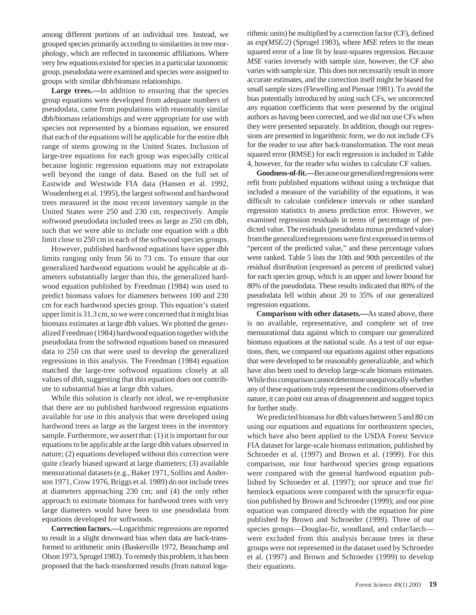among different portions of an individual tree. Instead, we grouped species primarily according to similarities in tree morphology, which are reflected in taxonomic affiliations. Where very few equations existed for species in a particular taxonomic group, pseudodata were examined and species were assigned to groups with similar dbh/biomass relationships.

Large trees.—In addition to ensuring that the species group equations were developed from adequate numbers of pseudodata, came from populations with reasonably similar dbh/biomass relationships and were appropriate for use with species not represented by a biomass equation, we ensured that each of the equations will be applicable for the entire dbh range of stems growing in the United States. Inclusion of large-tree equations for each group was especially critical because logistic regression equations may not extrapolate well beyond the range of data. Based on the full set of Eastwide and Westwide FIA data (Hansen et al. 1992, Woudenberg et al. 1995), the largest softwood and hardwood trees measured in the most recent inventory sample in the United States were 250 and 230 cm, respectively. Ample softwood pseudodata included trees as large as 250 cm dbh, such that we were able to include one equation with a dbh limit close to 250 cm in each of the softwood species groups.

However, published hardwood equations have upper dbh limits ranging only from 56 to 73 cm. To ensure that our generalized hardwood equations would be applicable at diameters substantially larger than this, the generalized hardwood equation published by Freedman (1984) was used to predict biomass values for diameters between 100 and 230 cm for each hardwood species group. This equation's stated upper limit is 31.3 cm, so we were concerned that it might bias biomass estimates at large dbh values. We plotted the generalized Freedman (1984) hardwood equation together with the pseudodata from the softwood equations based on measured data to 250 cm that were used to develop the generalized regressions in this analysis. The Freedman (1984) equation matched the large-tree softwood equations closely at all values of dbh, suggesting that this equation does not contribute to substantial bias at large dbh values.

While this solution is clearly not ideal, we re-emphasize that there are no published hardwood regression equations available for use in this analysis that were developed using hardwood trees as large as the largest trees in the inventory sample. Furthermore, we assert that: (1) it is important for our equations to be applicable at the large dbh values observed in nature; (2) equations developed without this correction were quite clearly biased upward at large diameters; (3) available mensurational datasets (e.g., Baker 1971, Sollins and Anderson 1971, Crow 1976, Briggs et al. 1989) do not include trees at diameters approaching 230 cm; and (4) the only other approach to estimate biomass for hardwood trees with very large diameters would have been to use pseudodata from equations developed for softwoods.

**Correction factors.—**Logarithmic regressions are reported to result in a slight downward bias when data are back-transformed to arithmetic units (Baskerville 1972, Beauchamp and Olson 1973, Sprugel 1983). To remedy this problem, it has been proposed that the back-transformed results (from natural logarithmic units) be multiplied by a correction factor (CF), defined as *exp(MSE/2)* (Sprugel 1983), where *MSE* refers to the mean squared error of a line fit by least-squares regression. Because *MSE* varies inversely with sample size, however, the CF also varies with sample size. This does not necessarily result in more accurate estimates, and the correction itself might be biased for small sample sizes (Flewelling and Pienaar 1981). To avoid the bias potentially introduced by using such CFs, we uncorrected any equation coefficients that were presented by the original authors as having been corrected, and we did not use CFs when they were presented separately. In addition, though our regressions are presented in logarithmic form, we do not include CFs for the reader to use after back-transformation. The root mean squared error (RMSE) for each regression is included in Table 4, however, for the reader who wishes to calculate CF values.

**Goodness-of-fit.—**Because our generalized regressions were refit from published equations without using a technique that included a measure of the variability of the equations, it was difficult to calculate confidence intervals or other standard regression statistics to assess prediction error. However, we examined regression residuals in terms of percentage of predicted value. The residuals (pseudodata minus predicted value) from the generalized regressions were first expressed in terms of "percent of the predicted value," and these percentage values were ranked. Table 5 lists the 10th and 90th percentiles of the residual distribution (expressed as percent of predicted value) for each species group, which is an upper and lower bound for 80% of the pseudodata. These results indicated that 80% of the pseudodata fell within about 20 to 35% of our generalized regression equations.

**Comparison with other datasets.—**As stated above, there is no available, representative, and complete set of tree mensurational data against which to compare our generalized biomass equations at the national scale. As a test of our equations, then, we compared our equations against other equations that were developed to be reasonably generalizable, and which have also been used to develop large-scale biomass estimates. While this comparison cannot determine unequivocally whether any of these equations truly represent the conditions observed in nature, it can point out areas of disagreement and suggest topics for further study.

We predicted biomass for dbh values between 5 and 80 cm using our equations and equations for northeastern species, which have also been applied to the USDA Forest Service FIA dataset for large-scale biomass estimation, published by Schroeder et al. (1997) and Brown et al. (1999). For this comparison, our four hardwood species group equations were compared with the general hardwood equation published by Schroeder et al. (1997); our spruce and true fir/ hemlock equations were compared with the spruce/fir equation published by Brown and Schroeder (1999); and our pine equation was compared directly with the equation for pine published by Brown and Schroeder (1999). Three of our species groups—Douglas-fir, woodland, and cedar/larch were excluded from this analysis because trees in these groups were not represented in the dataset used by Schroeder et al. (1997) and Brown and Schroeder (1999) to develop their equations.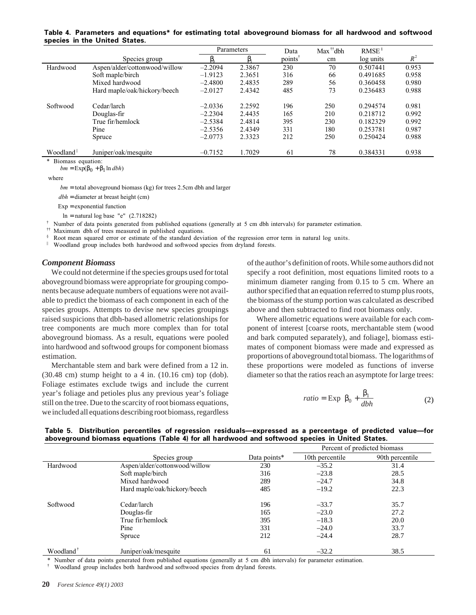|                       |                               |           | Parameters | Data                | $Max$ <sup>††</sup> dbh | $RMSE^{\S}$ |       |
|-----------------------|-------------------------------|-----------|------------|---------------------|-------------------------|-------------|-------|
|                       | Species group                 | ß,        |            | points <sup>†</sup> | cm                      | log units   | $R^2$ |
| Hardwood              | Aspen/alder/cottonwood/willow | $-2.2094$ | 2.3867     | 230                 | 70                      | 0.507441    | 0.953 |
|                       | Soft maple/birch              | $-1.9123$ | 2.3651     | 316                 | 66                      | 0.491685    | 0.958 |
|                       | Mixed hardwood                | $-2.4800$ | 2.4835     | 289                 | 56                      | 0.360458    | 0.980 |
|                       | Hard maple/oak/hickory/beech  | $-2.0127$ | 2.4342     | 485                 | 73                      | 0.236483    | 0.988 |
| Softwood              | Cedar/larch                   | $-2.0336$ | 2.2592     | 196                 | 250                     | 0.294574    | 0.981 |
|                       | Douglas-fir                   | $-2.2304$ | 2.4435     | 165                 | 210                     | 0.218712    | 0.992 |
|                       | True fir/hemlock              | $-2.5384$ | 2.4814     | 395                 | 230                     | 0.182329    | 0.992 |
|                       | Pine                          | $-2.5356$ | 2.4349     | 331                 | 180                     | 0.253781    | 0.987 |
|                       | Spruce                        | $-2.0773$ | 2.3323     | 212                 | 250                     | 0.250424    | 0.988 |
| Woodland <sup>#</sup> | Juniper/oak/mesquite          | $-0.7152$ | 1.7029     | 61                  | 78                      | 0.384331    | 0.938 |

#### **Table 4. Parameters and equations\* for estimating total aboveground biomass for all hardwood and softwood species in the United States.**

where

*bm* = total aboveground biomass (kg) for trees 2.5cm dbh and larger

*dbh* = diameter at breast height (cm)

 $Exp =$  exponential function

 $bm = \text{Exp}(\beta_0 + \beta_1 \ln dbh)$ 

 $\ln$  = natural log base "e" (2.718282)

Number of data points generated from published equations (generally at 5 cm dbh intervals) for parameter estimation.

†† Maximum dbh of trees measured in published equations.

Root mean squared error or estimate of the standard deviation of the regression error term in natural log units.

|| Woodland group includes both hardwood and softwood species from dryland forests.

#### *Component Biomass*

Biomass equation:

We could not determine if the species groups used for total aboveground biomass were appropriate for grouping components because adequate numbers of equations were not available to predict the biomass of each component in each of the species groups. Attempts to devise new species groupings raised suspicions that dbh-based allometric relationships for tree components are much more complex than for total aboveground biomass. As a result, equations were pooled into hardwood and softwood groups for component biomass estimation.

Merchantable stem and bark were defined from a 12 in.  $(30.48 \text{ cm})$  stump height to a 4 in.  $(10.16 \text{ cm})$  top  $(dob)$ . Foliage estimates exclude twigs and include the current year's foliage and petioles plus any previous year's foliage still on the tree. Due to the scarcity of root biomass equations, we included all equations describing root biomass, regardless of the author's definition of roots. While some authors did not specify a root definition, most equations limited roots to a minimum diameter ranging from 0.15 to 5 cm. Where an author specified that an equation referred to stump plus roots, the biomass of the stump portion was calculated as described above and then subtracted to find root biomass only.

Where allometric equations were available for each component of interest [coarse roots, merchantable stem (wood and bark computed separately), and foliage], biomass estimates of component biomass were made and expressed as proportions of aboveground total biomass. The logarithms of these proportions were modeled as functions of inverse diameter so that the ratios reach an asymptote for large trees:

$$
ratio = \exp\left(\beta_0 + \frac{\beta_1}{dbh}\right) \tag{2}
$$

|  | Table 5. Distribution percentiles of regression residuals-expressed as a percentage of predicted value-for |  |  |  |
|--|------------------------------------------------------------------------------------------------------------|--|--|--|
|  | aboveground biomass equations (Table 4) for all hardwood and softwood species in United States.            |  |  |  |

|                       |                               |              | Percent of predicted biomass |                 |  |
|-----------------------|-------------------------------|--------------|------------------------------|-----------------|--|
|                       | Species group                 | Data points* | 10th percentile              | 90th percentile |  |
| Hardwood              | Aspen/alder/cottonwood/willow | 230          | $-35.2$                      | 31.4            |  |
|                       | Soft maple/birch              | 316          | $-23.8$                      | 28.5            |  |
|                       | Mixed hardwood                | 289          | $-24.7$                      | 34.8            |  |
|                       | Hard maple/oak/hickory/beech  | 485          | $-19.2$                      | 22.3            |  |
| Softwood              | Cedar/larch                   | 196          | $-33.7$                      | 35.7            |  |
|                       | Douglas-fir                   | 165          | $-23.0$                      | 27.2            |  |
|                       | True fir/hemlock              | 395          | $-18.3$                      | 20.0            |  |
|                       | Pine                          | 331          | $-24.0$                      | 33.7            |  |
|                       | Spruce                        | 212          | $-24.4$                      | 28.7            |  |
| Woodland <sup>†</sup> | Juniper/oak/mesquite          | 61           | $-32.2$                      | 38.5            |  |

\* Number of data points generated from published equations (generally at 5 cm dbh intervals) for parameter estimation.

† Woodland group includes both hardwood and softwood species from dryland forests.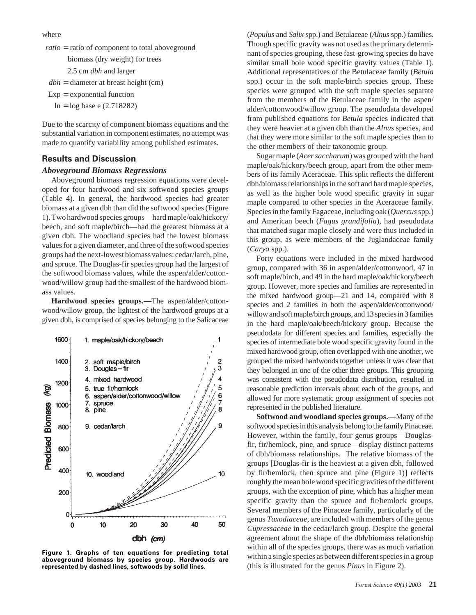where

ratio = ratio of component to total aboveground biomass (dry weight) for trees 2.5 cm *dbh* and larger  $dbh =$  diameter at breast height (cm)  $Exp =$  exponential function

Due to the scarcity of component biomass equations and the substantial variation in component estimates, no attempt was made to quantify variability among published estimates.

#### **Results and Discussion**

 $\ln = \log \text{base}$  e (2.718282)

#### *Aboveground Biomass Regressions*

Aboveground biomass regression equations were developed for four hardwood and six softwood species groups (Table 4). In general, the hardwood species had greater biomass at a given dbh than did the softwood species (Figure 1). Two hardwood species groups—hard maple/oak/hickory/ beech, and soft maple/birch—had the greatest biomass at a given dbh. The woodland species had the lowest biomass values for a given diameter, and three of the softwood species groups had the next-lowest biomass values: cedar/larch, pine, and spruce. The Douglas-fir species group had the largest of the softwood biomass values, while the aspen/alder/cottonwood/willow group had the smallest of the hardwood biomass values.

**Hardwood species groups.—**The aspen/alder/cottonwood/willow group, the lightest of the hardwood groups at a given dbh, is comprised of species belonging to the Salicaceae



**Figure 1. Graphs of ten equations for predicting total aboveground biomass by species group. Hardwoods are represented by dashed lines, softwoods by solid lines.**

(*Populus* and *Salix* spp.) and Betulaceae (*Alnus* spp.) families. Though specific gravity was not used as the primary determinant of species grouping, these fast-growing species do have similar small bole wood specific gravity values (Table 1). Additional representatives of the Betulaceae family (*Betula* spp.) occur in the soft maple/birch species group. These species were grouped with the soft maple species separate from the members of the Betulaceae family in the aspen/ alder/cottonwood/willow group. The pseudodata developed from published equations for *Betula* species indicated that they were heavier at a given dbh than the *Alnus* species, and that they were more similar to the soft maple species than to the other members of their taxonomic group.

Sugar maple (*Acer saccharum*) was grouped with the hard maple/oak/hickory/beech group, apart from the other members of its family Aceraceae. This split reflects the different dbh/biomass relationships in the soft and hard maple species, as well as the higher bole wood specific gravity in sugar maple compared to other species in the Aceraceae family. Species in the family Fagaceae, including oak (*Quercus* spp*.*) and American beech (*Fagus grandifolia*), had pseudodata that matched sugar maple closely and were thus included in this group, as were members of the Juglandaceae family (*Carya* spp.).

Forty equations were included in the mixed hardwood group, compared with 36 in aspen/alder/cottonwood, 47 in soft maple/birch, and 49 in the hard maple/oak/hickory/beech group. However, more species and families are represented in the mixed hardwood group—21 and 14, compared with 8 species and 2 families in both the aspen/alder/cottonwood/ willow and soft maple/birch groups, and 13 species in 3 families in the hard maple/oak/beech/hickory group. Because the pseudodata for different species and families, especially the species of intermediate bole wood specific gravity found in the mixed hardwood group, often overlapped with one another, we grouped the mixed hardwoods together unless it was clear that they belonged in one of the other three groups. This grouping was consistent with the pseudodata distribution, resulted in reasonable prediction intervals about each of the groups, and allowed for more systematic group assignment of species not represented in the published literature.

**Softwood and woodland species groups.—**Many of the softwood species in this analysis belong to the family Pinaceae*.* However, within the family, four genus groups—Douglasfir, fir/hemlock, pine, and spruce—display distinct patterns of dbh/biomass relationships. The relative biomass of the groups [Douglas-fir is the heaviest at a given dbh, followed by fir/hemlock, then spruce and pine (Figure 1)] reflects roughly the mean bole wood specific gravities of the different groups, with the exception of pine, which has a higher mean specific gravity than the spruce and fir/hemlock groups. Several members of the Pinaceae family, particularly of the genus *Taxodiaceae*, are included with members of the genus *Cupressaceae* in the cedar/larch group. Despite the general agreement about the shape of the dbh/biomass relationship within all of the species groups, there was as much variation within a single species as between different species in a group (this is illustrated for the genus *Pinus* in Figure 2).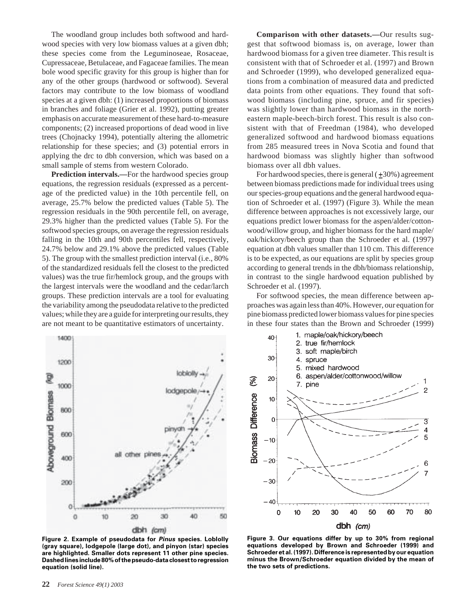The woodland group includes both softwood and hardwood species with very low biomass values at a given dbh; these species come from the Leguminoseae, Rosaceae, Cupressaceae, Betulaceae, and Fagaceae families. The mean bole wood specific gravity for this group is higher than for any of the other groups (hardwood or softwood). Several factors may contribute to the low biomass of woodland species at a given dbh: (1) increased proportions of biomass in branches and foliage (Grier et al. 1992), putting greater emphasis on accurate measurement of these hard-to-measure components; (2) increased proportions of dead wood in live trees (Chojnacky 1994), potentially altering the allometric relationship for these species; and (3) potential errors in applying the drc to dbh conversion, which was based on a small sample of stems from western Colorado.

**Prediction intervals.—**For the hardwood species group equations, the regression residuals (expressed as a percentage of the predicted value) in the 10th percentile fell, on average, 25.7% below the predicted values (Table 5). The regression residuals in the 90th percentile fell, on average, 29.3% higher than the predicted values (Table 5). For the softwood species groups, on average the regression residuals falling in the 10th and 90th percentiles fell, respectively, 24.7% below and 29.1% above the predicted values (Table 5). The group with the smallest prediction interval (i.e., 80% of the standardized residuals fell the closest to the predicted values) was the true fir/hemlock group, and the groups with the largest intervals were the woodland and the cedar/larch groups. These prediction intervals are a tool for evaluating the variability among the pseudodata relative to the predicted values; while they are a guide for interpreting our results, they are not meant to be quantitative estimators of uncertainty.

**Comparison with other datasets.—**Our results suggest that softwood biomass is, on average, lower than hardwood biomass for a given tree diameter. This result is consistent with that of Schroeder et al. (1997) and Brown and Schroeder (1999), who developed generalized equations from a combination of measured data and predicted data points from other equations. They found that softwood biomass (including pine, spruce, and fir species) was slightly lower than hardwood biomass in the northeastern maple-beech-birch forest. This result is also consistent with that of Freedman (1984), who developed generalized softwood and hardwood biomass equations from 285 measured trees in Nova Scotia and found that hardwood biomass was slightly higher than softwood biomass over all dbh values.

For hardwood species, there is general  $(\pm 30\%)$  agreement between biomass predictions made for individual trees using our species-group equations and the general hardwood equation of Schroeder et al. (1997) (Figure 3). While the mean difference between approaches is not excessively large, our equations predict lower biomass for the aspen/alder/cottonwood/willow group, and higher biomass for the hard maple/ oak/hickory/beech group than the Schroeder et al. (1997) equation at dbh values smaller than 110 cm. This difference is to be expected, as our equations are split by species group according to general trends in the dbh/biomass relationship, in contrast to the single hardwood equation published by Schroeder et al. (1997).

For softwood species, the mean difference between approaches was again less than 40%. However, our equation for pine biomass predicted lower biomass values for pine species in these four states than the Brown and Schroeder (1999)



**Figure 2. Example of pseudodata for Pinus species. Loblolly (gray square), lodgepole (large dot), and pinyon (star) species are highlighted. Smaller dots represent 11 other pine species. Dashed lines include 80% of the pseudo-data closest to regression equation (solid line).**



**Figure 3. Our equations differ by up to 30% from regional equations developed by Brown and Schroeder (1999) and Schroeder et al. (1997). Difference is represented by our equation minus the Brown/Schroeder equation divided by the mean of the two sets of predictions.**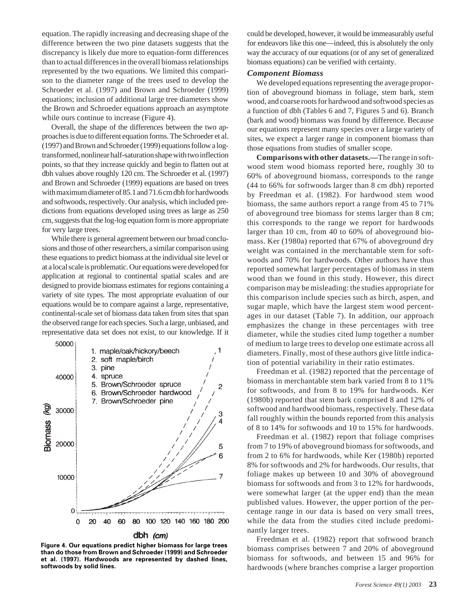equation. The rapidly increasing and decreasing shape of the difference between the two pine datasets suggests that the discrepancy is likely due more to equation-form differences than to actual differences in the overall biomass relationships represented by the two equations. We limited this comparison to the diameter range of the trees used to develop the Schroeder et al. (1997) and Brown and Schroeder (1999) equations; inclusion of additional large tree diameters show the Brown and Schroeder equations approach an asymptote while ours continue to increase (Figure 4).

Overall, the shape of the differences between the two approaches is due to different equation forms. The Schroeder et al. (1997) and Brown and Schroeder (1999) equations follow a logtransformed, nonlinear half-saturation shape with two inflection points, so that they increase quickly and begin to flatten out at dbh values above roughly 120 cm. The Schroeder et al. (1997) and Brown and Schroeder (1999) equations are based on trees with maximum diameter of 85.1 and 71.6 cm dbh for hardwoods and softwoods, respectively. Our analysis, which included predictions from equations developed using trees as large as 250 cm, suggests that the log-log equation form is more appropriate for very large trees.

While there is general agreement between our broad conclusions and those of other researchers, a similar comparison using these equations to predict biomass at the individual site level or at a local scale is problematic. Our equations were developed for application at regional to continental spatial scales and are designed to provide biomass estimates for regions containing a variety of site types. The most appropriate evaluation of our equations would be to compare against a large, representative, continental-scale set of biomass data taken from sites that span the observed range for each species. Such a large, unbiased, and representative data set does not exist, to our knowledge. If it



#### dbh (cm)

**Figure 4. Our equations predict higher biomass for large trees than do those from Brown and Schroeder (1999) and Schroeder et al. (1997). Hardwoods are represented by dashed lines, softwoods by solid lines.**

could be developed, however, it would be immeasurably useful for endeavors like this one—indeed, this is absolutely the only way the accuracy of our equations (or of any set of generalized biomass equations) can be verified with certainty.

#### *Component Biomass*

We developed equations representing the average proportion of aboveground biomass in foliage, stem bark, stem wood, and coarse roots for hardwood and softwood species as a function of dbh (Tables 6 and 7, Figures 5 and 6). Branch (bark and wood) biomass was found by difference. Because our equations represent many species over a large variety of sites, we expect a larger range in component biomass than those equations from studies of smaller scope.

**Comparisons with other datasets.—**The range in softwood stem wood biomass reported here, roughly 30 to 60% of aboveground biomass, corresponds to the range (44 to 66% for softwoods larger than 8 cm dbh) reported by Freedman et al. (1982). For hardwood stem wood biomass, the same authors report a range from 45 to 71% of aboveground tree biomass for stems larger than 8 cm; this corresponds to the range we report for hardwoods larger than 10 cm, from 40 to 60% of aboveground biomass. Ker (1980a) reported that 67% of aboveground dry weight was contained in the merchantable stem for softwoods and 70% for hardwoods. Other authors have thus reported somewhat larger percentages of biomass in stem wood than we found in this study. However, this direct comparison may be misleading: the studies appropriate for this comparison include species such as birch, aspen, and sugar maple, which have the largest stem wood percentages in our dataset (Table 7). In addition, our approach emphasizes the change in these percentages with tree diameter, while the studies cited lump together a number of medium to large trees to develop one estimate across all diameters. Finally, most of these authors give little indication of potential variability in their ratio estimates.

Freedman et al. (1982) reported that the percentage of biomass in merchantable stem bark varied from 8 to 11% for softwoods, and from 8 to 19% for hardwoods. Ker (1980b) reported that stem bark comprised 8 and 12% of softwood and hardwood biomass, respectively. These data fall roughly within the bounds reported from this analysis of 8 to 14% for softwoods and 10 to 15% for hardwoods.

Freedman et al. (1982) report that foliage comprises from 7 to 19% of aboveground biomass for softwoods, and from 2 to 6% for hardwoods, while Ker (1980b) reported 8% for softwoods and 2% for hardwoods. Our results, that foliage makes up between 10 and 30% of aboveground biomass for softwoods and from 3 to 12% for hardwoods, were somewhat larger (at the upper end) than the mean published values. However, the upper portion of the percentage range in our data is based on very small trees, while the data from the studies cited include predominantly larger trees.

Freedman et al. (1982) report that softwood branch biomass comprises between 7 and 20% of aboveground biomass for softwoods, and between 15 and 96% for hardwoods (where branches comprise a larger proportion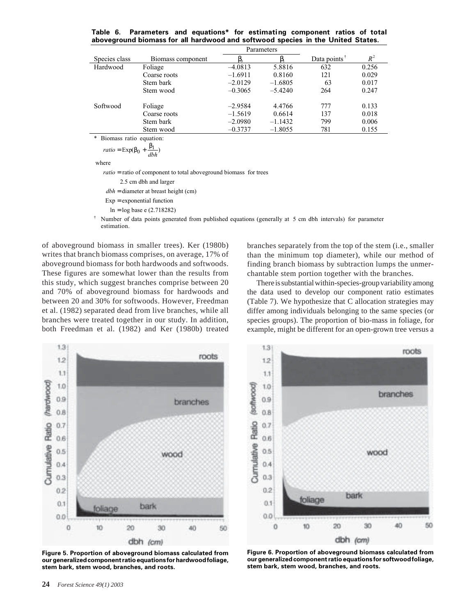|  | Table 6. Parameters and equations* for estimating component ratios of total     |  |  |  |  |
|--|---------------------------------------------------------------------------------|--|--|--|--|
|  | aboveground biomass for all hardwood and softwood species in the United States. |  |  |  |  |

|               |                   |           | Parameters |                 |       |
|---------------|-------------------|-----------|------------|-----------------|-------|
| Species class | Biomass component |           |            | Data points $†$ | $R^2$ |
| Hardwood      | Foliage           | $-4.0813$ | 5.8816     | 632             | 0.256 |
|               | Coarse roots      | $-1.6911$ | 0.8160     | 121             | 0.029 |
|               | Stem bark         | $-2.0129$ | $-1.6805$  | 63              | 0.017 |
|               | Stem wood         | $-0.3065$ | $-5.4240$  | 264             | 0.247 |
| Softwood      | Foliage           | $-2.9584$ | 4.4766     | 777             | 0.133 |
|               | Coarse roots      | $-1.5619$ | 0.6614     | 137             | 0.018 |
|               | Stem bark         | $-2.0980$ | $-1.1432$  | 799             | 0.006 |
|               | Stem wood         | $-0.3737$ | $-1.8055$  | 781             | 0.155 |
|               |                   |           |            |                 |       |

\* Biomass ratio equation:

 $ratio = \text{Exp}(\beta_0 + \frac{\beta_1}{\delta h}$ *dbh*

where

*ratio* = ratio of component to total aboveground biomass for trees

2.5 cm dbh and larger

dbh = diameter at breast height (cm)

 $Exp =$  exponential function

 $ln = log base e (2.718282)$ 

 $\dagger$  Number of data points generated from published equations (generally at 5 cm dbh intervals) for parameter estimation.

of aboveground biomass in smaller trees). Ker (1980b) writes that branch biomass comprises, on average, 17% of aboveground biomass for both hardwoods and softwoods. These figures are somewhat lower than the results from this study, which suggest branches comprise between 20 and 70% of aboveground biomass for hardwoods and between 20 and 30% for softwoods. However, Freedman et al. (1982) separated dead from live branches, while all branches were treated together in our study. In addition, both Freedman et al. (1982) and Ker (1980b) treated branches separately from the top of the stem (i.e., smaller than the minimum top diameter), while our method of finding branch biomass by subtraction lumps the unmerchantable stem portion together with the branches.

There is substantial within-species-group variability among the data used to develop our component ratio estimates (Table 7). We hypothesize that C allocation strategies may differ among individuals belonging to the same species (or species groups). The proportion of bio-mass in foliage, for example, might be different for an open-grown tree versus a



**Figure 5. Proportion of aboveground biomass calculated from our generalized component ratio equations for hardwood foliage, stem bark, stem wood, branches, and roots.**



**Figure 6. Proportion of aboveground biomass calculated from our generalized component ratio equations for softwood foliage, stem bark, stem wood, branches, and roots.**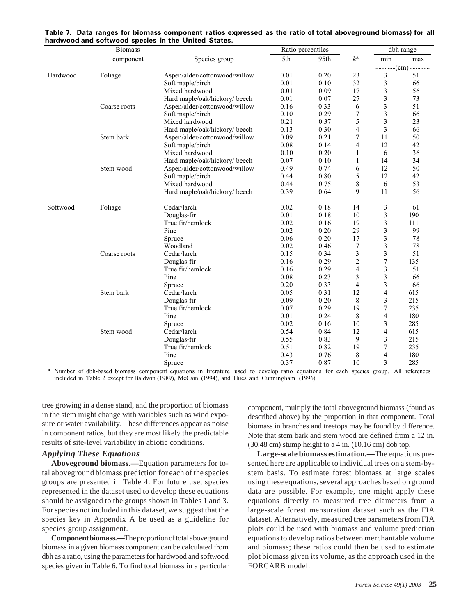|                                                                             | <b>Biomass</b> |                               |      |                                                                                                                                                                                                                                                                                                                                                                    |                  |     |     |
|-----------------------------------------------------------------------------|----------------|-------------------------------|------|--------------------------------------------------------------------------------------------------------------------------------------------------------------------------------------------------------------------------------------------------------------------------------------------------------------------------------------------------------------------|------------------|-----|-----|
|                                                                             | component      | Species group                 | 5th  | 95th                                                                                                                                                                                                                                                                                                                                                               | $k^*$            | min | max |
|                                                                             |                |                               |      |                                                                                                                                                                                                                                                                                                                                                                    |                  | .   |     |
| naruwood and sortwood species in the Onited Otates.<br>Hardwood<br>Softwood | Foliage        | Aspen/alder/cottonwood/willow | 0.01 | 0.20                                                                                                                                                                                                                                                                                                                                                               | 23               | 3   | 51  |
|                                                                             |                | Soft maple/birch              | 0.01 | 0.10                                                                                                                                                                                                                                                                                                                                                               | 32               | 3   | 66  |
|                                                                             |                | Mixed hardwood                | 0.01 | 0.09                                                                                                                                                                                                                                                                                                                                                               | 17               | 3   | 56  |
|                                                                             |                | Hard maple/oak/hickory/ beech | 0.01 | 0.07                                                                                                                                                                                                                                                                                                                                                               | 27               | 3   | 73  |
|                                                                             | Coarse roots   | Aspen/alder/cottonwood/willow | 0.16 | 0.33                                                                                                                                                                                                                                                                                                                                                               | 6                | 3   | 51  |
|                                                                             |                | Soft maple/birch              | 0.10 | 0.29                                                                                                                                                                                                                                                                                                                                                               | $\boldsymbol{7}$ | 3   | 66  |
|                                                                             |                | Mixed hardwood                | 0.21 | 0.37                                                                                                                                                                                                                                                                                                                                                               | 5                | 3   | 23  |
|                                                                             |                | Hard maple/oak/hickory/ beech | 0.13 | 0.30                                                                                                                                                                                                                                                                                                                                                               | $\overline{4}$   | 3   | 66  |
|                                                                             | Stem bark      | Aspen/alder/cottonwood/willow | 0.09 |                                                                                                                                                                                                                                                                                                                                                                    | 7                |     | 50  |
|                                                                             |                | Soft maple/birch              | 0.08 | 0.14                                                                                                                                                                                                                                                                                                                                                               | 4                | 12  | 42  |
|                                                                             |                | Mixed hardwood                | 0.10 | 0.20                                                                                                                                                                                                                                                                                                                                                               | $\mathbf{1}$     | 6   | 36  |
|                                                                             |                | Hard maple/oak/hickory/ beech | 0.07 | 0.10                                                                                                                                                                                                                                                                                                                                                               | 1                | 14  | 34  |
|                                                                             | Stem wood      | Aspen/alder/cottonwood/willow | 0.49 | 0.74                                                                                                                                                                                                                                                                                                                                                               | 6                | 12  | 50  |
|                                                                             |                | Soft maple/birch              | 0.44 | 0.80                                                                                                                                                                                                                                                                                                                                                               |                  | 12  | 42  |
|                                                                             |                | Mixed hardwood                | 0.44 | 0.75                                                                                                                                                                                                                                                                                                                                                               |                  |     | 53  |
|                                                                             |                | Hard maple/oak/hickory/ beech | 0.39 | 0.64                                                                                                                                                                                                                                                                                                                                                               | 9                | 11  | 56  |
|                                                                             |                |                               |      |                                                                                                                                                                                                                                                                                                                                                                    |                  |     |     |
|                                                                             | Foliage        | Cedar/larch                   | 0.02 | 0.18                                                                                                                                                                                                                                                                                                                                                               | 14               | 3   | 61  |
|                                                                             |                | Douglas-fir                   | 0.01 | 0.18                                                                                                                                                                                                                                                                                                                                                               | 10               |     | 190 |
|                                                                             |                | True fir/hemlock              | 0.02 | 0.16                                                                                                                                                                                                                                                                                                                                                               | 19               | 3   | 111 |
|                                                                             |                | Pine                          | 0.02 |                                                                                                                                                                                                                                                                                                                                                                    |                  | 3   | 99  |
|                                                                             |                | Spruce                        | 0.06 | 0.20                                                                                                                                                                                                                                                                                                                                                               | 17               | 3   | 78  |
|                                                                             |                | Woodland                      | 0.02 | 0.46                                                                                                                                                                                                                                                                                                                                                               | 7                | 3   | 78  |
|                                                                             | Coarse roots   | Cedar/larch                   | 0.15 | 0.34                                                                                                                                                                                                                                                                                                                                                               |                  |     | 51  |
|                                                                             |                | Douglas-fir                   | 0.16 | 0.29                                                                                                                                                                                                                                                                                                                                                               |                  |     | 135 |
|                                                                             |                | True fir/hemlock              | 0.16 | 0.29                                                                                                                                                                                                                                                                                                                                                               | $\overline{4}$   | 3   | 51  |
|                                                                             |                | Pine                          | 0.08 | 0.23                                                                                                                                                                                                                                                                                                                                                               | 3                | 3   | 66  |
|                                                                             |                | Spruce                        | 0.20 | Ratio percentiles<br>dbh range<br>0.21<br>11<br>5<br>8<br>6<br>3<br>0.20<br>29<br>3<br>3<br>$\overline{2}$<br>7<br>3<br>$\overline{4}$<br>0.33<br>12<br>4<br>0.31<br>0.20<br>3<br>8<br>0.29<br>19<br>7<br>8<br>$\overline{4}$<br>0.24<br>10<br>3<br>0.16<br>0.84<br>4<br>12<br>0.83<br>9<br>3<br>0.82<br>19<br>7<br>0.76<br>8<br>$\overline{4}$<br>0.87<br>10<br>3 | 66               |     |     |
|                                                                             | Stem bark      | Cedar/larch                   | 0.05 |                                                                                                                                                                                                                                                                                                                                                                    |                  |     | 615 |
|                                                                             |                | Douglas-fir                   | 0.09 |                                                                                                                                                                                                                                                                                                                                                                    |                  |     | 215 |
|                                                                             |                | True fir/hemlock              | 0.07 |                                                                                                                                                                                                                                                                                                                                                                    |                  |     | 235 |
|                                                                             |                | Pine                          | 0.01 |                                                                                                                                                                                                                                                                                                                                                                    |                  |     | 180 |
|                                                                             |                | Spruce                        | 0.02 |                                                                                                                                                                                                                                                                                                                                                                    |                  |     | 285 |
|                                                                             | Stem wood      | Cedar/larch                   | 0.54 |                                                                                                                                                                                                                                                                                                                                                                    |                  |     | 615 |
|                                                                             |                | Douglas-fir                   | 0.55 |                                                                                                                                                                                                                                                                                                                                                                    |                  |     | 215 |
|                                                                             |                | True fir/hemlock              | 0.51 |                                                                                                                                                                                                                                                                                                                                                                    |                  |     | 235 |
|                                                                             |                | Pine                          | 0.43 |                                                                                                                                                                                                                                                                                                                                                                    |                  |     | 180 |
|                                                                             |                | Spruce                        | 0.37 |                                                                                                                                                                                                                                                                                                                                                                    |                  |     | 285 |

|  |  |                                                     |  |  | Table 7. Data ranges for biomass component ratios expressed as the ratio of total aboveground biomass) for all |  |
|--|--|-----------------------------------------------------|--|--|----------------------------------------------------------------------------------------------------------------|--|
|  |  | hardwood and softwood species in the United States. |  |  |                                                                                                                |  |

\* Number of dbh-based biomass component equations in literature used to develop ratio equations for each species group. All references included in Table 2 except for Baldwin (1989), McCain (1994), and Thies and Cunningham (1996).

tree growing in a dense stand, and the proportion of biomass in the stem might change with variables such as wind exposure or water availability. These differences appear as noise in component ratios, but they are most likely the predictable results of site-level variability in abiotic conditions.

#### *Applying These Equations*

**Aboveground biomass.—**Equation parameters for total aboveground biomass prediction for each of the species groups are presented in Table 4. For future use, species represented in the dataset used to develop these equations should be assigned to the groups shown in Tables 1 and 3. For species not included in this dataset, we suggest that the species key in Appendix A be used as a guideline for species group assignment.

**Component biomass.—**The proportion of total aboveground biomass in a given biomass component can be calculated from dbh as a ratio, using the parameters for hardwood and softwood species given in Table 6. To find total biomass in a particular component, multiply the total aboveground biomass (found as described above) by the proportion in that component. Total biomass in branches and treetops may be found by difference. Note that stem bark and stem wood are defined from a 12 in. (30.48 cm) stump height to a 4 in. (10.16 cm) dob top.

**Large-scale biomass estimation***.—*The equations presented here are applicable to individual trees on a stem-bystem basis. To estimate forest biomass at large scales using these equations, several approaches based on ground data are possible. For example, one might apply these equations directly to measured tree diameters from a large-scale forest mensuration dataset such as the FIA dataset. Alternatively, measured tree parameters from FIA plots could be used with biomass and volume prediction equations to develop ratios between merchantable volume and biomass; these ratios could then be used to estimate plot biomass given its volume, as the approach used in the FORCARB model.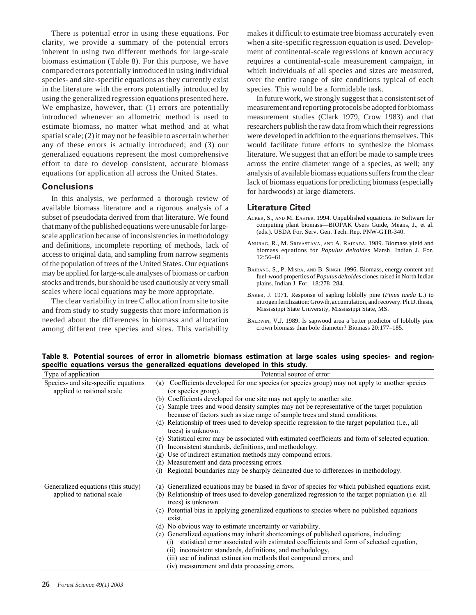There is potential error in using these equations. For clarity, we provide a summary of the potential errors inherent in using two different methods for large-scale biomass estimation (Table 8). For this purpose, we have compared errors potentially introduced in using individual species- and site-specific equations as they currently exist in the literature with the errors potentially introduced by using the generalized regression equations presented here. We emphasize, however, that: (1) errors are potentially introduced whenever an allometric method is used to estimate biomass, no matter what method and at what spatial scale; (2) it may not be feasible to ascertain whether any of these errors is actually introduced; and (3) our generalized equations represent the most comprehensive effort to date to develop consistent, accurate biomass equations for application all across the United States.

#### **Conclusions**

In this analysis, we performed a thorough review of available biomass literature and a rigorous analysis of a subset of pseudodata derived from that literature. We found that many of the published equations were unusable for largescale application because of inconsistencies in methodology and definitions, incomplete reporting of methods, lack of access to original data, and sampling from narrow segments of the population of trees of the United States. Our equations may be applied for large-scale analyses of biomass or carbon stocks and trends, but should be used cautiously at very small scales where local equations may be more appropriate.

The clear variability in tree C allocation from site to site and from study to study suggests that more information is needed about the differences in biomass and allocation among different tree species and sites. This variability

makes it difficult to estimate tree biomass accurately even when a site-specific regression equation is used. Development of continental-scale regressions of known accuracy requires a continental-scale measurement campaign, in which individuals of all species and sizes are measured, over the entire range of site conditions typical of each species. This would be a formidable task.

In future work, we strongly suggest that a consistent set of measurement and reporting protocols be adopted for biomass measurement studies (Clark 1979, Crow 1983) and that researchers publish the raw data from which their regressions were developed in addition to the equations themselves. This would facilitate future efforts to synthesize the biomass literature. We suggest that an effort be made to sample trees across the entire diameter range of a species, as well; any analysis of available biomass equations suffers from the clear lack of biomass equations for predicting biomass (especially for hardwoods) at large diameters.

#### **Literature Cited**

- ACKER, S., AND M. EASTER. 1994. Unpublished equations. *In* Software for computing plant biomass—BIOPAK Users Guide, Means, J., et al. (eds.). USDA For. Serv. Gen. Tech. Rep. PNW-GTR-340.
- ANURAG, R., M. SRIVASTAVA, AND A. RAIZADA. 1989. Biomass yield and biomass equations for *Populus deltoides* Marsh. Indian J. For. 12:56–61.
- BAJRANG, S., P. MISRA, AND B. SINGH. 1996. Biomass, energy content and fuel-wood properties of *Populus deltoides* clones raised in North Indian plains. Indian J. For. 18:278–284.
- BAKER, J. 1971. Response of sapling loblolly pine (*Pinus taeda* L.) to nitrogen fertilization: Growth, accumulation, and recovery. Ph.D. thesis, Mississippi State University, Mississippi State, MS.
- BALDWIN, V.J. 1989. Is sapwood area a better predictor of loblolly pine crown biomass than bole diameter? Biomass 20:177–185.

**Table 8. Potential sources of error in allometric biomass estimation at large scales using species- and regionspecific equations versus the generalized equations developed in this study.**

| Type of application                                                      | Potential source of error                                                                                                                                                   |
|--------------------------------------------------------------------------|-----------------------------------------------------------------------------------------------------------------------------------------------------------------------------|
| Species- and site-specific equations<br>(a)<br>applied to national scale | Coefficients developed for one species (or species group) may not apply to another species<br>(or species group).                                                           |
|                                                                          | (b) Coefficients developed for one site may not apply to another site.                                                                                                      |
|                                                                          | (c) Sample trees and wood density samples may not be representative of the target population<br>because of factors such as size range of sample trees and stand conditions. |
|                                                                          | (d) Relationship of trees used to develop specific regression to the target population (i.e., all<br>trees) is unknown.                                                     |
| (f)                                                                      | (e) Statistical error may be associated with estimated coefficients and form of selected equation.<br>Inconsistent standards, definitions, and methodology.                 |
| (g)                                                                      | Use of indirect estimation methods may compound errors.                                                                                                                     |
|                                                                          | (h) Measurement and data processing errors.                                                                                                                                 |
| (i)                                                                      | Regional boundaries may be sharply delineated due to differences in methodology.                                                                                            |
| Generalized equations (this study)                                       | (a) Generalized equations may be biased in favor of species for which published equations exist.                                                                            |
| applied to national scale                                                | (b) Relationship of trees used to develop generalized regression to the target population (i.e. all<br>trees) is unknown.                                                   |
|                                                                          | (c) Potential bias in applying generalized equations to species where no published equations<br>exist.                                                                      |
|                                                                          | (d) No obvious way to estimate uncertainty or variability.                                                                                                                  |
|                                                                          | (e) Generalized equations may inherit shortcomings of published equations, including:                                                                                       |
|                                                                          | statistical error associated with estimated coefficients and form of selected equation,<br>(i)                                                                              |
|                                                                          | (ii) inconsistent standards, definitions, and methodology,                                                                                                                  |
|                                                                          | (iii) use of indirect estimation methods that compound errors, and                                                                                                          |
|                                                                          | (iv) measurement and data processing errors.                                                                                                                                |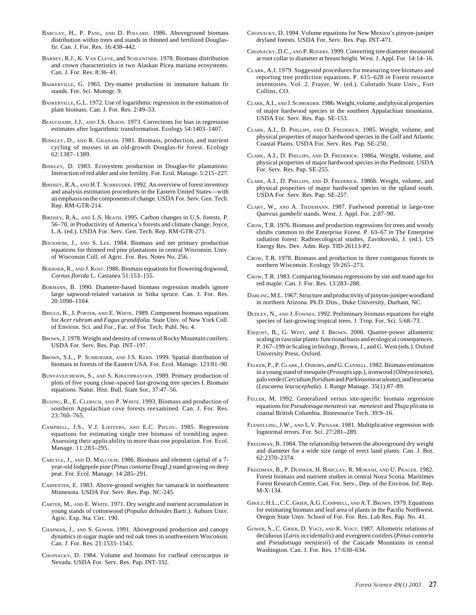- BARCLAY, H., P. PANG, AND D. POLLARD. 1986. Aboveground biomass distribution within trees and stands in thinned and fertilized Douglasfir. Can. J. For. Res. 16:438–442.
- BARNEY, R.J., K. VAN CLEVE, and SCHLENTNER. 1978. Biomass distribution and crown characteristics in two Alaskan Picea mariana ecosystems. Can. J. For. Res. 8:36–41.
- BASKERVILLE, G. 1965. Dry-matter production in immature balsam fir stands. For. Sci. Monogr. 9.
- BASKERVILLE, G.L. 1972. Use of logarithmic regression in the estimation of plant biomass. Can. J. For. Res. 2:49–53.
- BEAUCHAMP, J.J., AND J.S. OLSON. 1973. Corrections for bias in regression estimates after logarithmic transformation. Ecology 54:1403–1407.
- BINKLEY, D., AND R. GRAHAM. 1981. Biomass, production, and nutrient cycling of mosses in an old-growth Douglas-fir forest. Ecology 62:1387–1389.
- BINKLEY, D. 1983. Ecosystem production in Douglas-fir plantations: Interaction of red alder and site fertility. For. Ecol. Manage. 5:215–227.
- BIRDSEY, R.A., AND H.T. SCHREUDER. 1992. An overview of forest inventory and analysis estimation procedures in the Eastern United States—with an emphasis on the components of change. USDA For. Serv. Gen. Tech. Rep. RM-GTR-214.
- BIRDSEY, R.A., AND L.S. HEATH. 1995. Carbon changes in U.S. forests. P. 56–70, *in* Productivity of America's forests and climate change, Joyce, L.A. (ed.). USDA For. Serv. Gen. Tech. Rep. RM-GTR-271.
- BOCKHEIM, J., AND S. LEE. 1984. Biomass and net primary production equations for thinned red pine plantations in central Wisconsin. Univ. of Wisconsin Coll. of Agric. For. Res. Notes No. 256.
- BOERNER, R., AND J. KOST. 1986. Biomass equations for flowering dogwood, *Cornus florida* L. Castanea 51:153–155.
- BORMANN, B. 1990. Diameter-based biomass regression models ignore large sapwood-related variation in Sitka spruce. Can. J. For. Res. 20:1098–1104.
- BRIGGS, R., J. PORTER, AND E. WHITE. 1989. Component biomass equations for *Acer rubrum* and *Fagus grandifolia.* State Univ. of New York Coll. of Environ. Sci. and For., Fac. of For. Tech. Publ. No. 4.
- BROWN, J. 1978. Weight and density of crowns of Rocky Mountain conifers. USDA For. Serv. Res. Pap. INT–197.
- BROWN, S.L., P. SCHROEDER, AND J.S. KERN. 1999. Spatial distribution of biomass in forests of the Eastern USA. For. Ecol. Manage. 123:81–90.
- BUNYAVEJCHEWIN, S., AND S. KIRATIPRAYOON. 1989. Primary production of plots of five young close–spaced fast-growing tree species I. Biomass equations. Natur. Hist. Bull. Siam Soc, 37:47–56.
- BUSING, R., E. CLEBSCH, AND P. WHITE. 1993. Biomass and production of southern Appalachian cove forests reexamined. Can. J. For. Res. 23:760–765.
- CAMPBELL, J.S., V.J. LIEFFERS, AND E.C. PIELOU. 1985. Regression equations for estimating single tree biomass of trembling aspen: Assessing their applicability to more than one population. For. Ecol. Manage. 11:283–295.
- CARLYLE, J., AND D. MALCOLM. 1986. Biomass and element capital of a 7 year-old lodgepole pine (*Pinus contorta* Dougl.) stand growing on deep peat. For. Ecol. Manage. 14:285–291.
- CARPENTER, E. 1983. Above-ground weights for tamarack in northeastern Minnesota. USDA For. Serv. Res. Pap. NC-245.
- CARTER, M., AND E. WHITE. 1971. Dry weight and nutrient accumulation in young stands of cottonwood (*Populus deltoides* Bartr.). Auburn Univ. Agric. Exp. Sta. Circ. 190.
- CHAPMAN, J., AND S. GOWER. 1991. Aboveground production and canopy dynamics in sugar maple and red oak trees in southwestern Wisconsin. Can. J. For. Res. 21:1533–1543.
- CHOJNACKY, D. 1984. Volume and biomass for curlleaf cercocarpus in Nevada. USDA For. Serv. Res. Pap. INT-332.
- CHOJNACKY, D. 1994. Volume equations for New Mexico's pinyon-juniper dryland forests. USDA For. Serv. Res. Pap. INT-471.
- CHOJNACKY, D.C., AND P. ROGERS. 1999. Converting tree diameter measured at root collar to diameter at breast height. West. J. Appl. For. 14:14–16.
- CLARK, A.I. 1979. Suggested procedures for measuring tree biomass and reporting tree prediction equations. P. 615–628 *in* Forest resource inventories. Vol. 2. Frayer, W. (ed.). Colorado State Univ., Fort Collins, CO.
- CLARK, A.I., AND J. SCHROEDER. 1986. Weight, volume, and physical properties of major hardwood species in the southern Appalachian mountains. USDA For. Serv. Res. Pap. SE-153.
- CLARK, A.I., D. PHILLIPS, AND D. FREDERICK. 1985. Weight, volume, and physical properties of major hardwood species in the Gulf and Atlantic Coastal Plains. USDA For. Serv. Res. Pap. SE-250.
- CLARK, A.I., D. PHILLIPS, AND D. FREDERICK. 1986a. Weight, volume, and physical properties of major hardwood species in the Piedmont. USDA For. Serv. Res. Pap. SE-255.
- CLARK, A.I., D. PHILLIPS, AND D. FREDERICK. 1986b. Weight, volume, and physical properties of major hardwood species in the upland south. USDA For. Serv. Res. Pap. SE-257.
- CLARY, W., AND A. TIEDEMANN. 1987. Fuelwood potential in large-tree *Quercus gambelii* stands. West. J. Appl. For. 2:87–90.
- CROW, T.R. 1976. Biomass and production regressions for trees and woody shrubs common to the Enterprise Forest. P. 63–67 *in* The Enterprise radiation forest: Radioecological studies, Zavitkovski, J. (ed.). US Energy Res. Dev. Adm. Rep. TID-26113-P2.
- CROW, T.R. 1978. Biomass and production in three contiguous forests in northern Wisconsin. Ecology 59:265–273.
- CROW, T.R. 1983. Comparing biomass regressions by site and stand age for red maple. Can. J. For. Res. 13:283–288.
- DARLING, M.L. 1967. Structure and productivity of pinyon-juniper woodland in northern Arizona. Ph.D. Diss., Duke University, Durham, NC.
- DUDLEY, N., AND J. FOWNES. 1992. Preliminary biomass equations for eight species of fast-growing tropical trees. J. Trop. For. Sci. 5:68–73.
- ENQUIST, B., G. WEST, *and* J. BROWN. 2000. Quarter-power allometric scaling in vascular plants: functional basis and ecological consequences. P. 167–199 *in* Scaling in biology, Brown, J., and G. West (eds.). Oxford University Press, Oxford.
- FELKER, P., P. CLARK, J. OSBORN, *and* G. CANNELL. 1982. Biomass estimation in a young stand of mesquite (*Prosopis*spp.), ironwood (*Olneya tesota*), palo verde (*Cercidium floridium* and *Parkinsonia aculeata*), and leucaena (*Leucaena leucocephala*). J. Range Manage. 35(1):87–89.
- FELLER, M. 1992. Generalized versus site-specific biomass regression equations for *Pseudotsuga menziesii* var. *menziesii* and *Thuja plicata* in coastal British Columbia. Bioresource Tech. 39:9–16.
- FLEWELLING, J.W., AND L.V. PIENAAR. 1981. Multiplicative regression with lognormal errors. For. Sci. 27:281–289.
- FREEDMAN, B. 1984. The relationship between the aboveground dry weight and diameter for a wide size range of erect land plants. Can. J. Bot. 62:2370–2374.
- FREEDMAN, B., P. DUINKER, H. BARCLAY, R. MORASH, AND U. PRAGER. 1982. Forest biomass and nutrient studies in central Nova Scotia. Maritimes Forest Research Centre, Can. For. Serv., Dep. of the Environ. Inf. Rep. M-X-134.
- GHOLZ, H.L., C.C. GRIER, A.G. CAMPBELL, AND A.T. BROWN. 1979. Equations for estimating biomass and leaf area of plants in the Pacific Northwest. Oregon State Univ. School of For. For. Res. Lab Res. Pap. No. 41.
- GOWER, S., C. GRIER, D. VOGT, AND K. VOGT. 1987. Allometric relations of deciduous (*Larix occidentalis*) and evergreen conifers (*Pinus contorta* and *Pseudotsuga menziesii*) of the Cascade Mountains in central Washington. Can. J. For. Res. 17:630–634.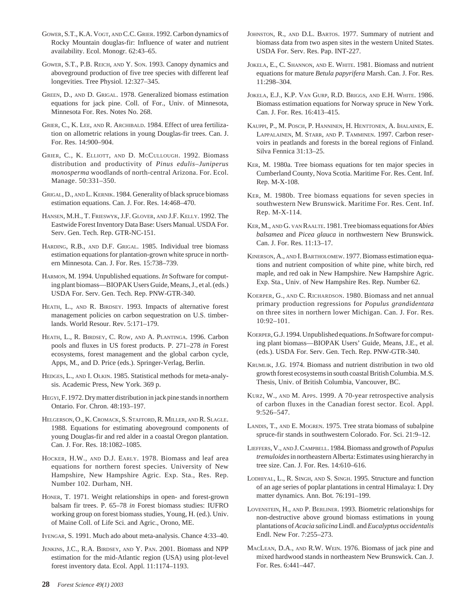- GOWER, S.T., K.A. VOGT, AND C.C. GRIER. 1992. Carbon dynamics of Rocky Mountain douglas-fir: Influence of water and nutrient availability. Ecol. Monogr. 62:43–65.
- GOWER, S.T., P.B. REICH, AND Y. SON. 1993. Canopy dynamics and aboveground production of five tree species with different leaf longevities. Tree Physiol. 12:327–345.
- GREEN, D., AND D. GRIGAL. 1978. Generalized biomass estimation equations for jack pine. Coll. of For., Univ. of Minnesota, Minnesota For. Res. Notes No. 268.
- GRIER, C., K. LEE, AND R. ARCHIBALD. 1984. Effect of urea fertilization on allometric relations in young Douglas-fir trees. Can. J. For. Res. 14:900–904.
- GRIER, C., K. ELLIOTT, AND D. MCCULLOUGH. 1992. Biomass distribution and productivity of *Pinus edulis*–*Juniperus monosperma* woodlands of north-central Arizona. For. Ecol. Manage. 50:331–350.
- GRIGAL, D., AND L. KERNIK. 1984. Generality of black spruce biomass estimation equations. Can. J. For. Res. 14:468–470.
- HANSEN, M.H., T. FRIESWYK, J.F. GLOVER, AND J.F. KELLY. 1992. The Eastwide Forest Inventory Data Base: Users Manual. USDA For. Serv. Gen. Tech. Rep. GTR-NC-151.
- HARDING, R.B., AND D.F. GRIGAL. 1985. Individual tree biomass estimation equations for plantation-grown white spruce in northern Minnesota. Can. J. For. Res. 15:738–739.
- HARMON, M. 1994. Unpublished equations. *In* Software for computing plant biomass—BIOPAK Users Guide, Means, J., et al. (eds.) USDA For. Serv. Gen. Tech. Rep. PNW-GTR-340.
- HEATH, L., AND R. BIRDSEY. 1993. Impacts of alternative forest management policies on carbon sequestration on U.S. timberlands. World Resour. Rev. 5:171–179.
- HEATH, L., R. BIRDSEY, C. ROW, AND A. PLANTINGA. 1996. Carbon pools and fluxes in US forest products. P. 271–278 *in* Forest ecosystems, forest management and the global carbon cycle, Apps, M., and D. Price (eds.). Springer-Verlag, Berlin.
- HEDGES, L., AND I. OLKIN. 1985. Statistical methods for meta-analysis. Academic Press, New York. 369 p.
- HEGYI, F. 1972. Dry matter distribution in jack pine stands in northern Ontario. For. Chron. 48:193–197.
- HELGERSON, O., K. CROMACK, S. STAFFORD, R. MILLER, AND R. SLAGLE. 1988. Equations for estimating aboveground components of young Douglas-fir and red alder in a coastal Oregon plantation. Can. J. For. Res. 18:1082–1085.
- HOCKER, H.W., AND D.J. EARLY. 1978. Biomass and leaf area equations for northern forest species. University of New Hampshire, New Hampshire Agric. Exp. Sta., Res. Rep. Number 102. Durham, NH.
- HONER, T. 1971. Weight relationships in open- and forest-grown balsam fir trees. P. 65–78 *in* Forest biomass studies: IUFRO working group on forest biomass studies, Young, H. (ed.). Univ. of Maine Coll. of Life Sci. and Agric., Orono, ME.
- IYENGAR, S. 1991. Much ado about meta-analysis. Chance 4:33–40.
- JENKINS, J.C., R.A. BIRDSEY, AND Y. PAN. 2001. Biomass and NPP estimation for the mid-Atlantic region (USA) using plot-level forest inventory data. Ecol. Appl. 11:1174–1193.
- **28** *Forest Science 49(1) 2003*
- JOHNSTON, R., AND D.L. BARTOS. 1977. Summary of nutrient and biomass data from two aspen sites in the western United States. USDA For. Serv. Res. Pap. INT-227.
- JOKELA, E., C. SHANNON, AND E. WHITE. 1981. Biomass and nutrient equations for mature *Betula papyrifera* Marsh. Can. J. For. Res. 11:298–304.
- JOKELA, E.J., K.P. VAN GURP, R.D. BRIGGS, AND E.H. WHITE. 1986. Biomass estimation equations for Norway spruce in New York. Can. J. For. Res. 16:413–415.
- KAUPPI, P., M. POSCH, P. HANNINEN, H. HENTTONEN, A. IHALAINEN, E. LAPPALAINEN, M. STARR, AND P. TAMMINEN. 1997. Carbon reservoirs in peatlands and forests in the boreal regions of Finland. Silva Fennica 31:13–25.
- KER, M. 1980a. Tree biomass equations for ten major species in Cumberland County, Nova Scotia. Maritime For. Res. Cent. Inf. Rep. M-X-108.
- KER, M. 1980b. Tree biomass equations for seven species in southwestern New Brunswick. Maritime For. Res. Cent. Inf. Rep. M-X-114.
- KER, M., AND G. VAN RAALTE. 1981. Tree biomass equations for *Abies balsamea* and *Picea glauca* in northwestern New Brunswick. Can. J. For. Res. 11:13–17.
- KINERSON, A., AND I. BARTHOLOMEW. 1977. Biomass estimation equations and nutrient composition of white pine, white birch, red maple, and red oak in New Hampshire. New Hampshire Agric. Exp. Sta., Univ. of New Hampshire Res. Rep. Number 62.
- KOERPER, G., AND C. RICHARDSON. 1980. Biomass and net annual primary production regressions for *Populus grandidentata* on three sites in northern lower Michigan. Can. J. For. Res. 10:92–101.
- KOERPER, G.J. 1994. Unpublished equations. *In* Software for computing plant biomass—BIOPAK Users' Guide, Means, J.E., et al. (eds.). USDA For. Serv. Gen. Tech. Rep. PNW-GTR-340.
- KRUMLIK, J.G. 1974. Biomass and nutrient distribution in two old growth forest ecosystems in south coastal British Columbia. M.S. Thesis, Univ. of British Columbia, Vancouver, BC.
- KURZ, W., AND M. APPS. 1999. A 70-year retrospective analysis of carbon fluxes in the Canadian forest sector. Ecol. Appl. 9:526–547.
- LANDIS, T., AND E. MOGREN. 1975. Tree strata biomass of subalpine spruce-fir stands in southwestern Colorado. For. Sci. 21:9–12.
- LIEFFERS, V., AND J. CAMPBELL. 1984. Biomass and growth of *Populus tremuloides*in northeastern Alberta: Estimates using hierarchy in tree size. Can. J. For. Res. 14:610–616.
- LODHIYAL, L., R. SINGH, AND S. SINGH. 1995. Structure and function of an age series of poplar plantations in central Himalaya: I. Dry matter dynamics. Ann. Bot. 76:191–199.
- LOVENSTEIN, H., AND P. BERLINER. 1993. Biometric relationships for non-destructive above ground biomass estimations in young plantations of *Acacia salicina*Lindl. and *Eucalyptus occidentalis* Endl. New For. 7:255–273.
- MACLEAN, D.A., AND R.W. WEIN. 1976. Biomass of jack pine and mixed hardwood stands in northeastern New Brunswick. Can. J. For. Res. 6:441–447.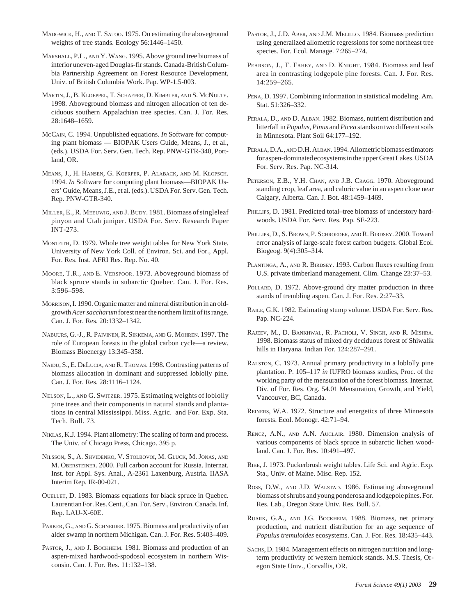- MADGWICK, H., AND T. SATOO. 1975. On estimating the aboveground weights of tree stands. Ecology 56:1446–1450.
- MARSHALL, P.L., AND Y. WANG. 1995. Above ground tree biomass of interior uneven-aged Douglas-fir stands. Canada-British Columbia Partnership Agreement on Forest Resource Development, Univ. of British Columbia Work. Pap. WP-1.5-003.
- MARTIN, J., B. KLOEPPEL, T. SCHAEFER, D. KIMBLER, AND S. MCNULTY. 1998. Aboveground biomass and nitrogen allocation of ten deciduous southern Appalachian tree species. Can. J. For. Res. 28:1648–1659.
- MCCAIN, C. 1994. Unpublished equations. *In* Software for computing plant biomass — BIOPAK Users Guide, Means, J., et al., (eds.). USDA For. Serv. Gen. Tech. Rep. PNW-GTR-340, Portland, OR.
- MEANS, J., H. HANSEN, G. KOERPER, P. ALABACK, AND M. KLOPSCH. 1994. *In* Software for computing plant biomass—BIOPAK Users' Guide, Means, J.E., et al. (eds.). USDA For. Serv. Gen. Tech. Rep. PNW-GTR-340.
- MILLER, E., R. MEEUWIG, AND J. BUDY. 1981. Biomass of singleleaf pinyon and Utah juniper. USDA For. Serv. Research Paper INT-273.
- MONTEITH, D. 1979. Whole tree weight tables for New York State. University of New York Coll. of Environ. Sci. and For., Appl. For. Res. Inst. AFRI Res. Rep. No. 40.
- MOORE, T.R., AND E. VERSPOOR. 1973. Aboveground biomass of black spruce stands in subarctic Quebec. Can. J. For. Res. 3:596–598.
- MORRISON, I. 1990. Organic matter and mineral distribution in an oldgrowth *Acer saccharum*forest near the northern limit of its range. Can. J. For. Res. 20:1332–1342.
- NABUURS, G.-J., R. PAIVINEN, R. SIKKEMA, AND G. MOHREN. 1997. The role of European forests in the global carbon cycle—a review. Biomass Bioenergy 13:345–358.
- NAIDU, S., E. DELUCIA, AND R. THOMAS. 1998. Contrasting patterns of biomass allocation in dominant and suppressed loblolly pine. Can. J. For. Res. 28:1116–1124.
- NELSON, L., AND G. SWITZER. 1975. Estimating weights of loblolly pine trees and their components in natural stands and plantations in central Mississippi. Miss. Agric. and For. Exp. Sta. Tech. Bull. 73.
- NIKLAS, K.J. 1994. Plant allometry: The scaling of form and process. The Univ. of Chicago Press, Chicago. 395 p.
- NILSSON, S., A. SHVIDENKO, V. STOLBOVOI, M. GLUCK, M. JONAS, AND M. OBERSTEINER. 2000. Full carbon account for Russia. Internat. Inst. for Appl. Sys. Anal., A-2361 Laxenburg, Austria. IIASA Interim Rep. IR-00-021.
- OUELLET, D. 1983. Biomass equations for black spruce in Quebec. Laurentian For. Res. Cent., Can. For. Serv., Environ. Canada. Inf. Rep. LAU-X-60E.
- PARKER, G., AND G. SCHNEIDER. 1975. Biomass and productivity of an alder swamp in northern Michigan. Can. J. For. Res. 5:403–409.
- PASTOR, J., AND J. BOCKHEIM. 1981. Biomass and production of an aspen-mixed hardwood-spodosol ecosystem in northern Wisconsin. Can. J. For. Res. 11:132–138.
- PASTOR, J., J.D. ABER, AND J.M. MELILLO. 1984. Biomass prediction using generalized allometric regressions for some northeast tree species. For. Ecol. Manage. 7:265–274.
- PEARSON, J., T. FAHEY, AND D. KNIGHT. 1984. Biomass and leaf area in contrasting lodgepole pine forests. Can. J. For. Res. 14:259–265.
- PENA, D. 1997. Combining information in statistical modeling. Am. Stat. 51:326–332.
- PERALA, D., AND D. ALBAN. 1982. Biomass, nutrient distribution and litterfall in *Populus*, *Pinus* and *Picea* stands on two different soils in Minnesota. Plant Soil 64:177–192.
- PERALA, D.A., AND D.H. ALBAN. 1994. Allometric biomass estimators for aspen-dominated ecosystems in the upper Great Lakes. USDA For. Serv. Res. Pap. NC-314.
- PETERSON, E.B., Y.H. CHAN, AND J.B. CRAGG. 1970. Aboveground standing crop, leaf area, and caloric value in an aspen clone near Calgary, Alberta. Can. J. Bot. 48:1459–1469.
- PHILLIPS, D. 1981. Predicted total–tree biomass of understory hardwoods. USDA For. Serv. Res. Pap. SE-223.
- PHILLIPS, D., S. BROWN, P. SCHROEDER, AND R. BIRDSEY. 2000. Toward error analysis of large-scale forest carbon budgets. Global Ecol. Biogeog. 9(4):305–314.
- PLANTINGA, A., AND R. BIRDSEY. 1993. Carbon fluxes resulting from U.S. private timberland management. Clim. Change 23:37–53.
- POLLARD, D. 1972. Above-ground dry matter production in three stands of trembling aspen. Can. J. For. Res. 2:27–33.
- RAILE, G.K. 1982. Estimating stump volume. USDA For. Serv. Res. Pap. NC-224.
- RAJEEV, M., D. BANKHWAL, R. PACHOLI, V. SINGH, AND R. MISHRA. 1998. Biomass status of mixed dry deciduous forest of Shiwalik hills in Haryana. Indian For. 124:287–291.
- RALSTON, C. 1973. Annual primary productivity in a loblolly pine plantation. P. 105–117 *in* IUFRO biomass studies, Proc. of the working party of the mensuration of the forest biomass. Internat. Div. of For. Res. Org. 54.01 Mensuration, Growth, and Yield, Vancouver, BC, Canada.
- REINERS, W.A. 1972. Structure and energetics of three Minnesota forests. Ecol. Monogr. 42:71–94.
- RENCZ, A.N., AND A.N. AUCLAIR. 1980. Dimension analysis of various components of black spruce in subarctic lichen woodland. Can. J. For. Res. 10:491–497.
- RIBE, J. 1973. Puckerbrush weight tables. Life Sci. and Agric. Exp. Sta., Univ. of Maine. Misc. Rep. 152.
- ROSS, D.W., AND J.D. WALSTAD. 1986. Estimating aboveground biomass of shrubs and young ponderosa and lodgepole pines. For. Res. Lab., Oregon State Univ. Res. Bull. 57.
- RUARK, G.A., AND J.G. BOCKHEIM. 1988. Biomass, net primary production, and nutrient distribution for an age sequence of *Populus tremuloides* ecosystems. Can. J. For. Res. 18:435–443.
- SACHS, D. 1984. Management effects on nitrogen nutrition and longterm productivity of western hemlock stands. M.S. Thesis, Oregon State Univ., Corvallis, OR.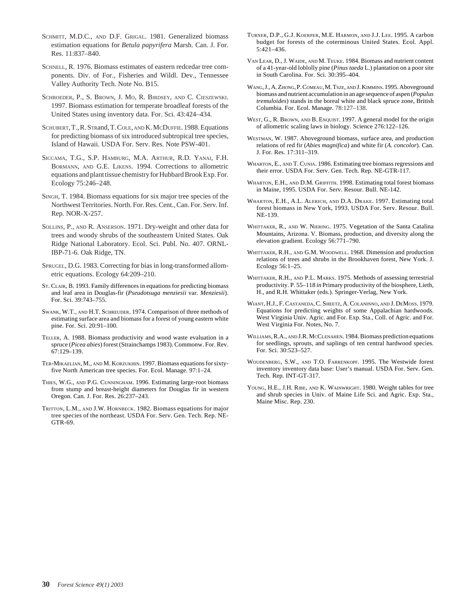- SCHMITT, M.D.C., AND D.F. GRIGAL. 1981. Generalized biomass estimation equations for *Betula papyrifera* Marsh. Can. J. For. Res. 11:837–840.
- SCHNELL, R. 1976. Biomass estimates of eastern redcedar tree components. Div. of For., Fisheries and Wildl. Dev., Tennessee Valley Authority Tech. Note No. B15.
- SCHROEDER, P., S. BROWN, J. MO, R. BIRDSEY, AND C. CIESZEWSKI. 1997. Biomass estimation for temperate broadleaf forests of the United States using inventory data. For. Sci. 43:424–434.
- SCHUBERT, T., R. STRand, T. COLE, AND K. MCDUFFIE. 1988. Equations for predicting biomass of six introduced subtropical tree species, Island of Hawaii. USDA For. Serv. Res. Note PSW-401.
- SICCAMA, T.G., S.P. HAMBURG, M.A. ARTHUR, R.D. YANAI, F.H. BORMANN, AND G.E. LIKENS. 1994. Corrections to allometric equations and plant tissue chemistry for Hubbard Brook Exp. For. Ecology 75:246–248.
- SINGH, T. 1984. Biomass equations for six major tree species of the Northwest Territories. North. For. Res. Cent., Can. For. Serv. Inf. Rep. NOR-X-257.
- SOLLINS, P., AND R. ANSERSON. 1971. Dry-weight and other data for trees and woody shrubs of the southeastern United States. Oak Ridge National Laboratory. Ecol. Sci. Publ. No. 407. ORNL-IBP-71-6. Oak Ridge, TN.
- SPRUGEL, D.G. 1983. Correcting for bias in long-transformed allometric equations. Ecology 64:209–210.
- ST. CLAIR, B. 1993. Family differences in equations for predicting biomass and leaf area in Douglas-fir (*Pseudotsuga menziesii* var. *Menziesii*). For. Sci. 39:743–755.
- SWANK, W.T., AND H.T. SCHREUDER. 1974. Comparison of three methods of estimating surface area and biomass for a forest of young eastern white pine. For. Sci. 20:91–100.
- TELLER, A. 1988. Biomass productivity and wood waste evaluation in a spruce (*Picea abies*) forest (Strainchamps 1983). Commonw. For. Rev. 67:129–139.
- TER-MIKAELIAN, M., AND M. KORZUKHIN. 1997. Biomass equations for sixtyfive North American tree species. For. Ecol. Manage. 97:1–24.
- THIES, W.G., AND P.G. CUNNINGHAM. 1996. Estimating large-root biomass from stump and breast-height diameters for Douglas fir in western Oregon. Can. J. For. Res. 26:237–243.
- TRITTON, L.M., AND J.W. HORNBECK. 1982. Biomass equations for major tree species of the northeast. USDA For. Serv. Gen. Tech. Rep. NE-GTR-69.
- TURNER, D.P., G.J. KOERPER, M.E. HARMON, AND J.J. LEE. 1995. A carbon budget for forests of the coterminous United States. Ecol. Appl. 5:421–436.
- VAN LEAR, D., J. WAIDE, AND M. TEUKE. 1984. Biomass and nutrient content of a 41-year-old loblolly pine (*Pinus taeda* L.) plantation on a poor site in South Carolina. For. Sci. 30:395–404.
- WANG, J., A. ZHONG, P. COMEAU, M. TSZE, AND J. KIMMINS. 1995. Aboveground biomass and nutrient accumulation in an age sequence of aspen (*Populus tremuloides*) stands in the boreal white and black spruce zone, British Columbia. For. Ecol. Manage. 78:127–138.
- WEST, G., R. BROWN, AND B. ENQUIST. 1997. A general model for the origin of allometric scaling laws in biology. Science 276:122–126.
- WESTMAN, W. 1987. Aboveground biomass, surface area, and production relations of red fir (*Abies magnifica*) and white fir (*A. concolor*). Can. J. For. Res. 17:311–319.
- WHARTON, E., AND T. CUNIA. 1986. Estimating tree biomass regressions and their error. USDA For. Serv. Gen. Tech. Rep. NE-GTR-117.
- WHARTON, E.H., AND D.M. GRIFFITH. 1998. Estimating total forest biomass in Maine, 1995. USDA For. Serv. Resour. Bull. NE-142.
- WHARTON, E.H., A.L. ALERICH, AND D.A. DRAKE. 1997. Estimating total forest biomass in New York, 1993. USDA For. Serv. Resour. Bull. NE-139.
- WHITTAKER, R., AND W. NIERING. 1975. Vegetation of the Santa Catalina Mountains, Arizona. V. Biomass, production, and diversity along the elevation gradient. Ecology 56:771–790.
- WHITTAKER, R.H., AND G.M. WOODWELL. 1968. Dimension and production relations of trees and shrubs in the Brookhaven forest, New York. J. Ecology 56:1–25.
- WHITTAKER, R.H., AND P.L. MARKS. 1975. Methods of assessing terrestrial productivity. P. 55–118 *in* Primary productivity of the biosphere, Lieth, H., and R.H. Whittaker (eds.). Springer-Verlag, New York.
- WIANT, H.J., F. CASTANEDA, C. SHEETZ, A. COLANINNO, AND J. DEMOSS. 1979. Equations for predicting weights of some Appalachian hardwoods. West Virginia Univ. Agric. and For. Exp. Sta., Coll. of Agric. and For. West Virginia For. Notes, No. 7.
- WILLIAMS, R.A., AND J.R. MCCLENAHEN. 1984. Biomass prediction equations for seedlings, sprouts, and saplings of ten central hardwood species. For. Sci. 30:523–527.
- WOUDENBERG, S.W., AND T.O. FARRENKOPF. 1995. The Westwide forest inventory inventory data base: User's manual. USDA For. Serv. Gen. Tech. Rep. INT-GT-317.
- YOUNG, H.E., J.H. RIBE, AND K. WAINWRIGHT. 1980. Weight tables for tree and shrub species in Univ. of Maine Life Sci. and Agric. Exp. Sta., Maine Misc. Rep. 230.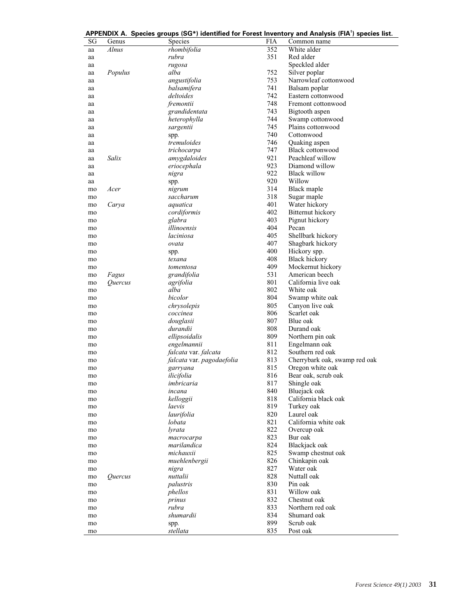|          |                       |                           |            | APPENDIX A. Species groups (SG*) identified for Forest Inventory and Analysis (FIA <sup>†</sup> ) species list. |
|----------|-----------------------|---------------------------|------------|-----------------------------------------------------------------------------------------------------------------|
| SG       | Genus                 | Species                   | <b>FIA</b> | Common name                                                                                                     |
| aa       | Alnus                 | rhombifolia               | 352        | White alder                                                                                                     |
| aa       |                       | rubra                     | 351        | Red alder                                                                                                       |
| aa       |                       | rugosa                    |            | Speckled alder                                                                                                  |
| aa       | Populus               | alba                      | 752        | Silver poplar                                                                                                   |
| aa       |                       | angustifolia              | 753        | Narrowleaf cottonwood                                                                                           |
| aa       |                       | balsamifera               | 741        | Balsam poplar                                                                                                   |
| aa       |                       | deltoides                 | 742        | Eastern cottonwood                                                                                              |
| aa       |                       | fremontii                 | 748        | Fremont cottonwood                                                                                              |
| aa       |                       | grandidentata             | 743        | Bigtooth aspen                                                                                                  |
| aa       |                       | heterophylla              | 744        | Swamp cottonwood                                                                                                |
| aa       |                       | sargentii                 | 745        | Plains cottonwood                                                                                               |
| aa       |                       | spp.                      | 740        | Cottonwood                                                                                                      |
| aa       |                       | tremuloides               | 746        | Quaking aspen                                                                                                   |
| aa       |                       | trichocarpa               | 747        | Black cottonwood                                                                                                |
| aa       | Salix                 | amygdaloides              | 921        | Peachleaf willow                                                                                                |
| aa       |                       | eriocephala               | 923        | Diamond willow                                                                                                  |
| aa       |                       | nigra                     | 922        | <b>Black willow</b>                                                                                             |
| aa       |                       | spp.                      | 920        | Willow                                                                                                          |
| mo       | Acer                  | nigrum                    | 314        | Black maple                                                                                                     |
| mo       |                       | saccharum                 | 318        | Sugar maple                                                                                                     |
| mo       | Carya                 | aquatica                  | 401        | Water hickory                                                                                                   |
| mo       |                       | cordiformis               | 402        | Bitternut hickory                                                                                               |
| mo       |                       | glabra                    | 403        | Pignut hickory                                                                                                  |
| mo       |                       | illinoensis               | 404        | Pecan                                                                                                           |
|          |                       | laciniosa                 | 405        | Shellbark hickory                                                                                               |
| mo<br>mo |                       | ovata                     | 407        | Shagbark hickory                                                                                                |
|          |                       |                           | 400        | Hickory spp.                                                                                                    |
| mo       |                       | spp.<br>texana            | 408        | <b>Black hickory</b>                                                                                            |
| mo       |                       |                           | 409        | Mockernut hickory                                                                                               |
| mo       |                       | tomentosa                 | 531        | American beech                                                                                                  |
| mo       | Fagus                 | grandifolia               | 801        | California live oak                                                                                             |
| mo       | Quercus               | agrifolia<br>alba         | 802        | White oak                                                                                                       |
| mo       |                       |                           | 804        |                                                                                                                 |
| mo       |                       | bicolor                   |            | Swamp white oak                                                                                                 |
| mo       |                       | chrysolepis               | 805        | Canyon live oak                                                                                                 |
| mo       |                       | coccinea                  | 806        | Scarlet oak                                                                                                     |
| mo       |                       | douglasii                 | 807        | Blue oak                                                                                                        |
| mo       |                       | durandii                  | 808        | Durand oak                                                                                                      |
| mo       |                       | ellipsoidalis             | 809        | Northern pin oak                                                                                                |
| mo       |                       | engelmannii               | 811        | Engelmann oak                                                                                                   |
| mo       |                       | falcata var. falcata      | 812        | Southern red oak                                                                                                |
| mo       |                       | falcata var. pagodaefolia | 813        | Cherrybark oak, swamp red oak                                                                                   |
| mo       |                       | garryana                  | 815        | Oregon white oak                                                                                                |
| mo       |                       | ilicifolia                | 816        | Bear oak, scrub oak                                                                                             |
| mo       |                       | imbricaria                | 817        | Shingle oak                                                                                                     |
| mo       |                       | incana                    | 840        | Bluejack oak                                                                                                    |
| mo       |                       | kelloggii                 | 818        | California black oak                                                                                            |
| mo       |                       | laevis                    | 819        | Turkey oak                                                                                                      |
| mo       |                       | laurifolia                | 820        | Laurel oak                                                                                                      |
| mo       |                       | lobata                    | 821        | California white oak                                                                                            |
| mo       |                       | lyrata                    | 822        | Overcup oak                                                                                                     |
| mo       |                       | macrocarpa                | 823        | Bur oak                                                                                                         |
| mo       |                       | marilandica               | 824        | Blackjack oak                                                                                                   |
| mo       |                       | michauxii                 | 825        | Swamp chestnut oak                                                                                              |
| mo       |                       | muehlenbergii             | 826        | Chinkapin oak                                                                                                   |
| mo       |                       | nigra                     | 827        | Water oak                                                                                                       |
| mo       | <i><u>Ouercus</u></i> | nuttalii                  | 828        | Nuttall oak                                                                                                     |
| mo       |                       | palustris                 | 830        | Pin oak                                                                                                         |
| mo       |                       | phellos                   | 831        | Willow oak                                                                                                      |
| mo       |                       | prinus                    | 832        | Chestnut oak                                                                                                    |
| mo       |                       | rubra                     | 833        | Northern red oak                                                                                                |
| mo       |                       | shumardii                 | 834        | Shumard oak                                                                                                     |
| mo       |                       | spp.                      | 899        | Scrub oak                                                                                                       |
| mo       |                       | stellata                  | 835        | Post oak                                                                                                        |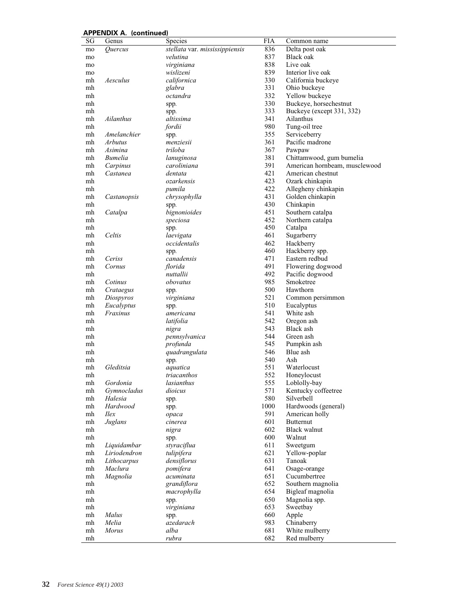| 836<br>stellata var. mississippiensis<br>Delta post oak<br>Quercus<br>mo<br>837<br>velutina<br>Black oak<br>mo<br>virginiana<br>838<br>Live oak<br>mo<br>839<br>Interior live oak<br>wislizeni<br>mo<br>Aesculus<br>californica<br>330<br>California buckeye<br>mh |                               |
|--------------------------------------------------------------------------------------------------------------------------------------------------------------------------------------------------------------------------------------------------------------------|-------------------------------|
|                                                                                                                                                                                                                                                                    |                               |
|                                                                                                                                                                                                                                                                    |                               |
|                                                                                                                                                                                                                                                                    |                               |
|                                                                                                                                                                                                                                                                    |                               |
|                                                                                                                                                                                                                                                                    |                               |
| 331<br>Ohio buckeye<br>mh<br>glabra                                                                                                                                                                                                                                |                               |
| 332<br>octandra<br>Yellow buckeye<br>mh                                                                                                                                                                                                                            |                               |
| 330<br>Buckeye, horsechestnut<br>mh<br>spp.                                                                                                                                                                                                                        |                               |
| 333<br>Buckeye (except 331, 332)<br>mh<br>spp.                                                                                                                                                                                                                     |                               |
| 341<br>mh<br>Ailanthus<br>altissima<br>Ailanthus                                                                                                                                                                                                                   |                               |
| 980<br>Tung-oil tree<br>mh<br>fordii                                                                                                                                                                                                                               |                               |
| Amelanchier<br>355<br>Serviceberry<br>mh<br>spp.                                                                                                                                                                                                                   |                               |
| 361<br>Pacific madrone<br><i>Arbutus</i><br>menziesii<br>mh                                                                                                                                                                                                        |                               |
| triloba<br>367<br>mh<br>Asimina<br>Pawpaw                                                                                                                                                                                                                          |                               |
| Bumelia<br>381<br>Chittamwood, gum bumelia<br>mh<br>lanuginosa                                                                                                                                                                                                     |                               |
| 391<br>Carpinus<br>caroliniana<br>mh<br>421                                                                                                                                                                                                                        | American hornbeam, musclewood |
| dentata<br>American chestnut<br>mh<br>Castanea                                                                                                                                                                                                                     |                               |
| ozarkensis<br>423<br>Ozark chinkapin<br>mh<br>422                                                                                                                                                                                                                  |                               |
| Allegheny chinkapin<br>pumila<br>mh<br>431                                                                                                                                                                                                                         |                               |
| Golden chinkapin<br>Castanopsis<br>chrysophylla<br>mh<br>430<br>mh                                                                                                                                                                                                 |                               |
| Chinkapin<br>spp.<br>451<br>bignonioides<br>Southern catalpa<br>mh<br>Catalpa                                                                                                                                                                                      |                               |
| 452<br>Northern catalpa<br>mh<br>speciosa                                                                                                                                                                                                                          |                               |
| 450<br>Catalpa<br>mh                                                                                                                                                                                                                                               |                               |
| spp.<br>461<br>Celtis<br>laevigata<br>Sugarberry<br>mh                                                                                                                                                                                                             |                               |
| occidentalis<br>462<br>Hackberry<br>mh                                                                                                                                                                                                                             |                               |
| 460<br>Hackberry spp.<br>mh<br>spp.                                                                                                                                                                                                                                |                               |
| canadensis<br>Eastern redbud<br>471<br>mh<br>Ceriss                                                                                                                                                                                                                |                               |
| 491<br>florida<br>Flowering dogwood<br>mh<br>Cornus                                                                                                                                                                                                                |                               |
| nuttallii<br>492<br>Pacific dogwood<br>mh                                                                                                                                                                                                                          |                               |
| 985<br>Smoketree<br>Cotinus<br>obovatus<br>mh                                                                                                                                                                                                                      |                               |
| 500<br>Hawthorn<br>Crataegus<br>mh<br>spp.                                                                                                                                                                                                                         |                               |
| 521<br>Common persimmon<br>mh<br>Diospyros<br>virginiana                                                                                                                                                                                                           |                               |
| 510<br>Eucalyptus<br>Eucalyptus<br>mh<br>spp.                                                                                                                                                                                                                      |                               |
| 541<br>Fraxinus<br>White ash<br>mh<br>americana                                                                                                                                                                                                                    |                               |
| 542<br>Oregon ash<br>mh<br>latifolia                                                                                                                                                                                                                               |                               |
| 543<br>Black ash<br>mh<br>nigra                                                                                                                                                                                                                                    |                               |
| 544<br>pennsylvanica<br>mh<br>Green ash                                                                                                                                                                                                                            |                               |
| profunda<br>545<br>Pumpkin ash<br>mh                                                                                                                                                                                                                               |                               |
| 546<br>Blue ash<br>quadrangulata<br>mh                                                                                                                                                                                                                             |                               |
| 540<br>Ash<br>mh<br>spp.                                                                                                                                                                                                                                           |                               |
| Gleditsia<br>551<br>Waterlocust<br>mh<br>aquatica                                                                                                                                                                                                                  |                               |
| 552<br>triacanthos<br>Honeylocust<br>mh                                                                                                                                                                                                                            |                               |
| 555<br>lasianthus<br>Loblolly-bay<br>mh<br>Gordonia                                                                                                                                                                                                                |                               |
| 571<br>Gymnocladus<br>Kentucky coffeetree<br>mh<br>dioicus                                                                                                                                                                                                         |                               |
| 580<br>Silverbell<br>Halesia<br>mh<br>spp.                                                                                                                                                                                                                         |                               |
| 1000<br>Hardwoods (general)<br>Hardwood<br>mh<br>spp.                                                                                                                                                                                                              |                               |
| 591<br>American holly<br>$\mathit{Hex}$<br>mh<br>opaca                                                                                                                                                                                                             |                               |
| 601<br><b>Butternut</b><br>Juglans<br>mh<br>cinerea                                                                                                                                                                                                                |                               |
| 602<br>Black walnut<br>mh<br>nigra                                                                                                                                                                                                                                 |                               |
| Walnut<br>600<br>mh<br>spp.                                                                                                                                                                                                                                        |                               |
| styraciflua<br>611<br>Sweetgum<br>Liquidambar<br>mh                                                                                                                                                                                                                |                               |
| 621<br>Liriodendron<br>tulipifera<br>Yellow-poplar<br>mh                                                                                                                                                                                                           |                               |
| 631<br>Lithocarpus<br>densiflorus<br>Tanoak<br>mh<br>Maclura<br>641                                                                                                                                                                                                |                               |
| Osage-orange<br>pomifera<br>mh<br>651<br>Cucumbertree<br>acuminata                                                                                                                                                                                                 |                               |
| Magnolia<br>mh<br>grandiflora<br>652                                                                                                                                                                                                                               |                               |
| Southern magnolia<br>mh<br>654<br>Bigleaf magnolia<br>mh                                                                                                                                                                                                           |                               |
| macrophylla<br>650<br>Magnolia spp.<br>mh<br>spp.                                                                                                                                                                                                                  |                               |
| Sweetbay<br>virginiana<br>653<br>mh                                                                                                                                                                                                                                |                               |
| 660<br>mh<br>Malus<br>Apple<br>spp.                                                                                                                                                                                                                                |                               |
| azedarach<br>983<br>Chinaberry<br>mh<br>Melia                                                                                                                                                                                                                      |                               |
| White mulberry<br><b>Morus</b><br>alba<br>681<br>mh                                                                                                                                                                                                                |                               |
| 682<br>Red mulberry<br>mh<br>rubra                                                                                                                                                                                                                                 |                               |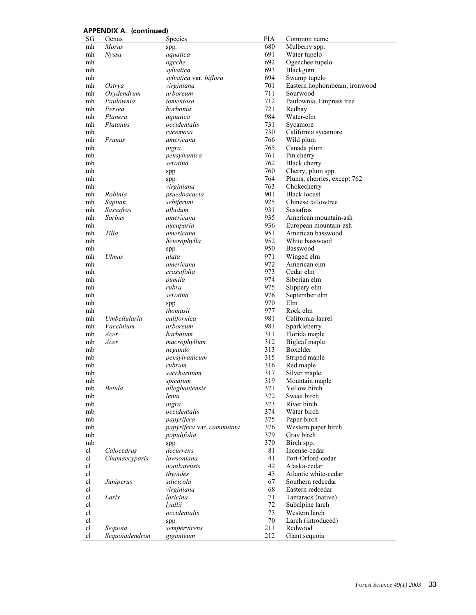| 680<br>mh<br><b>Morus</b><br>Mulberry spp.<br>spp.<br>691<br>Water tupelo<br>mh<br><b>Nyssa</b><br>aquatica<br>692<br>Ogeechee tupelo<br>ogeche<br>mh<br>693<br>sylvatica<br>Blackgum<br>mh<br>694<br>sylvatica var. biflora<br>Swamp tupelo<br>mh<br>701<br>Eastern hophornbeam, ironwood<br>mh<br>Ostrya<br>virginiana<br>711<br>Oxydendrum<br>arboreum<br>Sourwood<br>mh<br>712<br>Paulownia<br>Paulownia, Empress tree<br>mh<br>tomentosa<br>721<br>Persea<br>borbonia<br>Redbay<br>mh<br>984<br>Water-elm<br>mh<br>Planera<br>aquatica<br>731<br>mh<br>Platanus<br>occidentalis<br>Sycamore<br>730<br>California sycamore<br>mh<br>racemosa<br>mh<br>Prunus<br>766<br>Wild plum<br>americana<br>765<br>Canada plum<br>mh<br>nigra<br>pensylvanica<br>761<br>Pin cherry<br>mh<br>762<br>serotina<br>Black cherry<br>mh<br>760<br>Cherry, plum spp.<br>mh<br>spp.<br>764<br>Plums, cherries, except 762<br>mh<br>spp.<br>763<br>mh<br>virginiana<br>Chokecherry<br>901<br><b>Black locust</b><br>Robinia<br>psuedoacacia<br>mh<br>925<br>Chinese tallowtree<br>Sapium<br>sebiferum<br>mh<br>931<br>Sassafras<br>Sassafras<br>albidum<br>mh<br>935<br>Sorbus<br>American mountain-ash<br>mh<br>americana<br>936<br>European mountain-ash<br>mh<br>aucuparia<br>Tilia<br>951<br>American basswood<br>americana<br>mh<br>952<br>White basswood<br>mh<br>heterophylla<br>950<br>Basswood<br>mh<br>spp.<br>971<br>mh<br><b>Ulmus</b><br>alata<br>Winged elm<br>972<br>American elm<br>americana<br>mh<br>973<br>crassifolia<br>Cedar elm<br>mh<br>974<br>pumila<br>Siberian elm<br>mh<br>rubra<br>975<br>Slippery elm<br>mh<br>976<br>September elm<br>mh<br>serotina<br>970<br>mh<br>Elm<br>spp.<br>977<br>Rock elm<br>mh<br>thomasii<br>981<br>Umbellularia<br>californica<br>California-laurel<br>mh<br>981<br>Vaccinium<br>arboreum<br>Sparkleberry<br>mh<br>311<br>barbatum<br>Florida maple<br>mb<br>Acer<br>312<br>Bigleaf maple<br>mb<br>Acer<br>macrophyllum<br>313<br>Boxelder<br>negundo<br>mb<br>315<br>pensylvanicum<br>Striped maple<br>mb<br>rubrum<br>Red maple<br>mb<br>316<br>saccharinum<br>317<br>Silver maple<br>mb<br>319<br>mb<br>Mountain maple<br>spicatum<br>Betula<br>alleghaniensis<br>371<br>Yellow birch<br>mb<br>372<br>Sweet birch<br>mb<br>lenta<br>373<br>nigra<br>River birch<br>mb<br>occidentalis<br>374<br>Water birch<br>mb<br>375<br>Paper birch<br>mb<br>papyrifera<br>376<br>Western paper birch<br>papyrifera var. commutata<br>mb<br>379<br>Gray birch<br>mb<br>populifolia<br>370<br>Birch spp.<br>mb<br>spp.<br>Calocedrus<br>81<br>cl<br>decurrens<br>Incense-cedar<br>Chamaecyparis<br>41<br>cl<br>lawsoniana<br>Port-Orford-cedar<br>cl<br>42<br>nootkatensis<br>Alaska-cedar<br>43<br>cl<br>thyoides<br>Atlantic white-cedar<br>cl<br>Southern redcedar<br>silicicola<br>67<br>Juniperus<br>cl<br>68<br>Eastern redcedar<br>virginiana<br>cl<br>Larix<br>laricina<br>71<br>Tamarack (native)<br>cl<br>72<br>Subalpine larch<br>lyallii<br>cl<br>occidentalis<br>73<br>Western larch<br>70<br>cl<br>Larch (introduced)<br>spp.<br>cl<br>211<br>Redwood<br>Sequoia<br>sempervirens | SG | Genus          | <b>Species</b> | <b>FIA</b> | Common name   |
|----------------------------------------------------------------------------------------------------------------------------------------------------------------------------------------------------------------------------------------------------------------------------------------------------------------------------------------------------------------------------------------------------------------------------------------------------------------------------------------------------------------------------------------------------------------------------------------------------------------------------------------------------------------------------------------------------------------------------------------------------------------------------------------------------------------------------------------------------------------------------------------------------------------------------------------------------------------------------------------------------------------------------------------------------------------------------------------------------------------------------------------------------------------------------------------------------------------------------------------------------------------------------------------------------------------------------------------------------------------------------------------------------------------------------------------------------------------------------------------------------------------------------------------------------------------------------------------------------------------------------------------------------------------------------------------------------------------------------------------------------------------------------------------------------------------------------------------------------------------------------------------------------------------------------------------------------------------------------------------------------------------------------------------------------------------------------------------------------------------------------------------------------------------------------------------------------------------------------------------------------------------------------------------------------------------------------------------------------------------------------------------------------------------------------------------------------------------------------------------------------------------------------------------------------------------------------------------------------------------------------------------------------------------------------------------------------------------------------------------------------------------------------------------------------------------------------------------------------------------------------------------------------------------------------------------------------------------------------------------------------------------------------------------------------------------------------------------------------------------------------------|----|----------------|----------------|------------|---------------|
|                                                                                                                                                                                                                                                                                                                                                                                                                                                                                                                                                                                                                                                                                                                                                                                                                                                                                                                                                                                                                                                                                                                                                                                                                                                                                                                                                                                                                                                                                                                                                                                                                                                                                                                                                                                                                                                                                                                                                                                                                                                                                                                                                                                                                                                                                                                                                                                                                                                                                                                                                                                                                                                                                                                                                                                                                                                                                                                                                                                                                                                                                                                                  |    |                |                |            |               |
|                                                                                                                                                                                                                                                                                                                                                                                                                                                                                                                                                                                                                                                                                                                                                                                                                                                                                                                                                                                                                                                                                                                                                                                                                                                                                                                                                                                                                                                                                                                                                                                                                                                                                                                                                                                                                                                                                                                                                                                                                                                                                                                                                                                                                                                                                                                                                                                                                                                                                                                                                                                                                                                                                                                                                                                                                                                                                                                                                                                                                                                                                                                                  |    |                |                |            |               |
|                                                                                                                                                                                                                                                                                                                                                                                                                                                                                                                                                                                                                                                                                                                                                                                                                                                                                                                                                                                                                                                                                                                                                                                                                                                                                                                                                                                                                                                                                                                                                                                                                                                                                                                                                                                                                                                                                                                                                                                                                                                                                                                                                                                                                                                                                                                                                                                                                                                                                                                                                                                                                                                                                                                                                                                                                                                                                                                                                                                                                                                                                                                                  |    |                |                |            |               |
|                                                                                                                                                                                                                                                                                                                                                                                                                                                                                                                                                                                                                                                                                                                                                                                                                                                                                                                                                                                                                                                                                                                                                                                                                                                                                                                                                                                                                                                                                                                                                                                                                                                                                                                                                                                                                                                                                                                                                                                                                                                                                                                                                                                                                                                                                                                                                                                                                                                                                                                                                                                                                                                                                                                                                                                                                                                                                                                                                                                                                                                                                                                                  |    |                |                |            |               |
|                                                                                                                                                                                                                                                                                                                                                                                                                                                                                                                                                                                                                                                                                                                                                                                                                                                                                                                                                                                                                                                                                                                                                                                                                                                                                                                                                                                                                                                                                                                                                                                                                                                                                                                                                                                                                                                                                                                                                                                                                                                                                                                                                                                                                                                                                                                                                                                                                                                                                                                                                                                                                                                                                                                                                                                                                                                                                                                                                                                                                                                                                                                                  |    |                |                |            |               |
|                                                                                                                                                                                                                                                                                                                                                                                                                                                                                                                                                                                                                                                                                                                                                                                                                                                                                                                                                                                                                                                                                                                                                                                                                                                                                                                                                                                                                                                                                                                                                                                                                                                                                                                                                                                                                                                                                                                                                                                                                                                                                                                                                                                                                                                                                                                                                                                                                                                                                                                                                                                                                                                                                                                                                                                                                                                                                                                                                                                                                                                                                                                                  |    |                |                |            |               |
|                                                                                                                                                                                                                                                                                                                                                                                                                                                                                                                                                                                                                                                                                                                                                                                                                                                                                                                                                                                                                                                                                                                                                                                                                                                                                                                                                                                                                                                                                                                                                                                                                                                                                                                                                                                                                                                                                                                                                                                                                                                                                                                                                                                                                                                                                                                                                                                                                                                                                                                                                                                                                                                                                                                                                                                                                                                                                                                                                                                                                                                                                                                                  |    |                |                |            |               |
|                                                                                                                                                                                                                                                                                                                                                                                                                                                                                                                                                                                                                                                                                                                                                                                                                                                                                                                                                                                                                                                                                                                                                                                                                                                                                                                                                                                                                                                                                                                                                                                                                                                                                                                                                                                                                                                                                                                                                                                                                                                                                                                                                                                                                                                                                                                                                                                                                                                                                                                                                                                                                                                                                                                                                                                                                                                                                                                                                                                                                                                                                                                                  |    |                |                |            |               |
|                                                                                                                                                                                                                                                                                                                                                                                                                                                                                                                                                                                                                                                                                                                                                                                                                                                                                                                                                                                                                                                                                                                                                                                                                                                                                                                                                                                                                                                                                                                                                                                                                                                                                                                                                                                                                                                                                                                                                                                                                                                                                                                                                                                                                                                                                                                                                                                                                                                                                                                                                                                                                                                                                                                                                                                                                                                                                                                                                                                                                                                                                                                                  |    |                |                |            |               |
|                                                                                                                                                                                                                                                                                                                                                                                                                                                                                                                                                                                                                                                                                                                                                                                                                                                                                                                                                                                                                                                                                                                                                                                                                                                                                                                                                                                                                                                                                                                                                                                                                                                                                                                                                                                                                                                                                                                                                                                                                                                                                                                                                                                                                                                                                                                                                                                                                                                                                                                                                                                                                                                                                                                                                                                                                                                                                                                                                                                                                                                                                                                                  |    |                |                |            |               |
|                                                                                                                                                                                                                                                                                                                                                                                                                                                                                                                                                                                                                                                                                                                                                                                                                                                                                                                                                                                                                                                                                                                                                                                                                                                                                                                                                                                                                                                                                                                                                                                                                                                                                                                                                                                                                                                                                                                                                                                                                                                                                                                                                                                                                                                                                                                                                                                                                                                                                                                                                                                                                                                                                                                                                                                                                                                                                                                                                                                                                                                                                                                                  |    |                |                |            |               |
|                                                                                                                                                                                                                                                                                                                                                                                                                                                                                                                                                                                                                                                                                                                                                                                                                                                                                                                                                                                                                                                                                                                                                                                                                                                                                                                                                                                                                                                                                                                                                                                                                                                                                                                                                                                                                                                                                                                                                                                                                                                                                                                                                                                                                                                                                                                                                                                                                                                                                                                                                                                                                                                                                                                                                                                                                                                                                                                                                                                                                                                                                                                                  |    |                |                |            |               |
|                                                                                                                                                                                                                                                                                                                                                                                                                                                                                                                                                                                                                                                                                                                                                                                                                                                                                                                                                                                                                                                                                                                                                                                                                                                                                                                                                                                                                                                                                                                                                                                                                                                                                                                                                                                                                                                                                                                                                                                                                                                                                                                                                                                                                                                                                                                                                                                                                                                                                                                                                                                                                                                                                                                                                                                                                                                                                                                                                                                                                                                                                                                                  |    |                |                |            |               |
|                                                                                                                                                                                                                                                                                                                                                                                                                                                                                                                                                                                                                                                                                                                                                                                                                                                                                                                                                                                                                                                                                                                                                                                                                                                                                                                                                                                                                                                                                                                                                                                                                                                                                                                                                                                                                                                                                                                                                                                                                                                                                                                                                                                                                                                                                                                                                                                                                                                                                                                                                                                                                                                                                                                                                                                                                                                                                                                                                                                                                                                                                                                                  |    |                |                |            |               |
|                                                                                                                                                                                                                                                                                                                                                                                                                                                                                                                                                                                                                                                                                                                                                                                                                                                                                                                                                                                                                                                                                                                                                                                                                                                                                                                                                                                                                                                                                                                                                                                                                                                                                                                                                                                                                                                                                                                                                                                                                                                                                                                                                                                                                                                                                                                                                                                                                                                                                                                                                                                                                                                                                                                                                                                                                                                                                                                                                                                                                                                                                                                                  |    |                |                |            |               |
|                                                                                                                                                                                                                                                                                                                                                                                                                                                                                                                                                                                                                                                                                                                                                                                                                                                                                                                                                                                                                                                                                                                                                                                                                                                                                                                                                                                                                                                                                                                                                                                                                                                                                                                                                                                                                                                                                                                                                                                                                                                                                                                                                                                                                                                                                                                                                                                                                                                                                                                                                                                                                                                                                                                                                                                                                                                                                                                                                                                                                                                                                                                                  |    |                |                |            |               |
|                                                                                                                                                                                                                                                                                                                                                                                                                                                                                                                                                                                                                                                                                                                                                                                                                                                                                                                                                                                                                                                                                                                                                                                                                                                                                                                                                                                                                                                                                                                                                                                                                                                                                                                                                                                                                                                                                                                                                                                                                                                                                                                                                                                                                                                                                                                                                                                                                                                                                                                                                                                                                                                                                                                                                                                                                                                                                                                                                                                                                                                                                                                                  |    |                |                |            |               |
|                                                                                                                                                                                                                                                                                                                                                                                                                                                                                                                                                                                                                                                                                                                                                                                                                                                                                                                                                                                                                                                                                                                                                                                                                                                                                                                                                                                                                                                                                                                                                                                                                                                                                                                                                                                                                                                                                                                                                                                                                                                                                                                                                                                                                                                                                                                                                                                                                                                                                                                                                                                                                                                                                                                                                                                                                                                                                                                                                                                                                                                                                                                                  |    |                |                |            |               |
|                                                                                                                                                                                                                                                                                                                                                                                                                                                                                                                                                                                                                                                                                                                                                                                                                                                                                                                                                                                                                                                                                                                                                                                                                                                                                                                                                                                                                                                                                                                                                                                                                                                                                                                                                                                                                                                                                                                                                                                                                                                                                                                                                                                                                                                                                                                                                                                                                                                                                                                                                                                                                                                                                                                                                                                                                                                                                                                                                                                                                                                                                                                                  |    |                |                |            |               |
|                                                                                                                                                                                                                                                                                                                                                                                                                                                                                                                                                                                                                                                                                                                                                                                                                                                                                                                                                                                                                                                                                                                                                                                                                                                                                                                                                                                                                                                                                                                                                                                                                                                                                                                                                                                                                                                                                                                                                                                                                                                                                                                                                                                                                                                                                                                                                                                                                                                                                                                                                                                                                                                                                                                                                                                                                                                                                                                                                                                                                                                                                                                                  |    |                |                |            |               |
|                                                                                                                                                                                                                                                                                                                                                                                                                                                                                                                                                                                                                                                                                                                                                                                                                                                                                                                                                                                                                                                                                                                                                                                                                                                                                                                                                                                                                                                                                                                                                                                                                                                                                                                                                                                                                                                                                                                                                                                                                                                                                                                                                                                                                                                                                                                                                                                                                                                                                                                                                                                                                                                                                                                                                                                                                                                                                                                                                                                                                                                                                                                                  |    |                |                |            |               |
|                                                                                                                                                                                                                                                                                                                                                                                                                                                                                                                                                                                                                                                                                                                                                                                                                                                                                                                                                                                                                                                                                                                                                                                                                                                                                                                                                                                                                                                                                                                                                                                                                                                                                                                                                                                                                                                                                                                                                                                                                                                                                                                                                                                                                                                                                                                                                                                                                                                                                                                                                                                                                                                                                                                                                                                                                                                                                                                                                                                                                                                                                                                                  |    |                |                |            |               |
|                                                                                                                                                                                                                                                                                                                                                                                                                                                                                                                                                                                                                                                                                                                                                                                                                                                                                                                                                                                                                                                                                                                                                                                                                                                                                                                                                                                                                                                                                                                                                                                                                                                                                                                                                                                                                                                                                                                                                                                                                                                                                                                                                                                                                                                                                                                                                                                                                                                                                                                                                                                                                                                                                                                                                                                                                                                                                                                                                                                                                                                                                                                                  |    |                |                |            |               |
|                                                                                                                                                                                                                                                                                                                                                                                                                                                                                                                                                                                                                                                                                                                                                                                                                                                                                                                                                                                                                                                                                                                                                                                                                                                                                                                                                                                                                                                                                                                                                                                                                                                                                                                                                                                                                                                                                                                                                                                                                                                                                                                                                                                                                                                                                                                                                                                                                                                                                                                                                                                                                                                                                                                                                                                                                                                                                                                                                                                                                                                                                                                                  |    |                |                |            |               |
|                                                                                                                                                                                                                                                                                                                                                                                                                                                                                                                                                                                                                                                                                                                                                                                                                                                                                                                                                                                                                                                                                                                                                                                                                                                                                                                                                                                                                                                                                                                                                                                                                                                                                                                                                                                                                                                                                                                                                                                                                                                                                                                                                                                                                                                                                                                                                                                                                                                                                                                                                                                                                                                                                                                                                                                                                                                                                                                                                                                                                                                                                                                                  |    |                |                |            |               |
|                                                                                                                                                                                                                                                                                                                                                                                                                                                                                                                                                                                                                                                                                                                                                                                                                                                                                                                                                                                                                                                                                                                                                                                                                                                                                                                                                                                                                                                                                                                                                                                                                                                                                                                                                                                                                                                                                                                                                                                                                                                                                                                                                                                                                                                                                                                                                                                                                                                                                                                                                                                                                                                                                                                                                                                                                                                                                                                                                                                                                                                                                                                                  |    |                |                |            |               |
|                                                                                                                                                                                                                                                                                                                                                                                                                                                                                                                                                                                                                                                                                                                                                                                                                                                                                                                                                                                                                                                                                                                                                                                                                                                                                                                                                                                                                                                                                                                                                                                                                                                                                                                                                                                                                                                                                                                                                                                                                                                                                                                                                                                                                                                                                                                                                                                                                                                                                                                                                                                                                                                                                                                                                                                                                                                                                                                                                                                                                                                                                                                                  |    |                |                |            |               |
|                                                                                                                                                                                                                                                                                                                                                                                                                                                                                                                                                                                                                                                                                                                                                                                                                                                                                                                                                                                                                                                                                                                                                                                                                                                                                                                                                                                                                                                                                                                                                                                                                                                                                                                                                                                                                                                                                                                                                                                                                                                                                                                                                                                                                                                                                                                                                                                                                                                                                                                                                                                                                                                                                                                                                                                                                                                                                                                                                                                                                                                                                                                                  |    |                |                |            |               |
|                                                                                                                                                                                                                                                                                                                                                                                                                                                                                                                                                                                                                                                                                                                                                                                                                                                                                                                                                                                                                                                                                                                                                                                                                                                                                                                                                                                                                                                                                                                                                                                                                                                                                                                                                                                                                                                                                                                                                                                                                                                                                                                                                                                                                                                                                                                                                                                                                                                                                                                                                                                                                                                                                                                                                                                                                                                                                                                                                                                                                                                                                                                                  |    |                |                |            |               |
|                                                                                                                                                                                                                                                                                                                                                                                                                                                                                                                                                                                                                                                                                                                                                                                                                                                                                                                                                                                                                                                                                                                                                                                                                                                                                                                                                                                                                                                                                                                                                                                                                                                                                                                                                                                                                                                                                                                                                                                                                                                                                                                                                                                                                                                                                                                                                                                                                                                                                                                                                                                                                                                                                                                                                                                                                                                                                                                                                                                                                                                                                                                                  |    |                |                |            |               |
|                                                                                                                                                                                                                                                                                                                                                                                                                                                                                                                                                                                                                                                                                                                                                                                                                                                                                                                                                                                                                                                                                                                                                                                                                                                                                                                                                                                                                                                                                                                                                                                                                                                                                                                                                                                                                                                                                                                                                                                                                                                                                                                                                                                                                                                                                                                                                                                                                                                                                                                                                                                                                                                                                                                                                                                                                                                                                                                                                                                                                                                                                                                                  |    |                |                |            |               |
|                                                                                                                                                                                                                                                                                                                                                                                                                                                                                                                                                                                                                                                                                                                                                                                                                                                                                                                                                                                                                                                                                                                                                                                                                                                                                                                                                                                                                                                                                                                                                                                                                                                                                                                                                                                                                                                                                                                                                                                                                                                                                                                                                                                                                                                                                                                                                                                                                                                                                                                                                                                                                                                                                                                                                                                                                                                                                                                                                                                                                                                                                                                                  |    |                |                |            |               |
|                                                                                                                                                                                                                                                                                                                                                                                                                                                                                                                                                                                                                                                                                                                                                                                                                                                                                                                                                                                                                                                                                                                                                                                                                                                                                                                                                                                                                                                                                                                                                                                                                                                                                                                                                                                                                                                                                                                                                                                                                                                                                                                                                                                                                                                                                                                                                                                                                                                                                                                                                                                                                                                                                                                                                                                                                                                                                                                                                                                                                                                                                                                                  |    |                |                |            |               |
|                                                                                                                                                                                                                                                                                                                                                                                                                                                                                                                                                                                                                                                                                                                                                                                                                                                                                                                                                                                                                                                                                                                                                                                                                                                                                                                                                                                                                                                                                                                                                                                                                                                                                                                                                                                                                                                                                                                                                                                                                                                                                                                                                                                                                                                                                                                                                                                                                                                                                                                                                                                                                                                                                                                                                                                                                                                                                                                                                                                                                                                                                                                                  |    |                |                |            |               |
|                                                                                                                                                                                                                                                                                                                                                                                                                                                                                                                                                                                                                                                                                                                                                                                                                                                                                                                                                                                                                                                                                                                                                                                                                                                                                                                                                                                                                                                                                                                                                                                                                                                                                                                                                                                                                                                                                                                                                                                                                                                                                                                                                                                                                                                                                                                                                                                                                                                                                                                                                                                                                                                                                                                                                                                                                                                                                                                                                                                                                                                                                                                                  |    |                |                |            |               |
|                                                                                                                                                                                                                                                                                                                                                                                                                                                                                                                                                                                                                                                                                                                                                                                                                                                                                                                                                                                                                                                                                                                                                                                                                                                                                                                                                                                                                                                                                                                                                                                                                                                                                                                                                                                                                                                                                                                                                                                                                                                                                                                                                                                                                                                                                                                                                                                                                                                                                                                                                                                                                                                                                                                                                                                                                                                                                                                                                                                                                                                                                                                                  |    |                |                |            |               |
|                                                                                                                                                                                                                                                                                                                                                                                                                                                                                                                                                                                                                                                                                                                                                                                                                                                                                                                                                                                                                                                                                                                                                                                                                                                                                                                                                                                                                                                                                                                                                                                                                                                                                                                                                                                                                                                                                                                                                                                                                                                                                                                                                                                                                                                                                                                                                                                                                                                                                                                                                                                                                                                                                                                                                                                                                                                                                                                                                                                                                                                                                                                                  |    |                |                |            |               |
|                                                                                                                                                                                                                                                                                                                                                                                                                                                                                                                                                                                                                                                                                                                                                                                                                                                                                                                                                                                                                                                                                                                                                                                                                                                                                                                                                                                                                                                                                                                                                                                                                                                                                                                                                                                                                                                                                                                                                                                                                                                                                                                                                                                                                                                                                                                                                                                                                                                                                                                                                                                                                                                                                                                                                                                                                                                                                                                                                                                                                                                                                                                                  |    |                |                |            |               |
|                                                                                                                                                                                                                                                                                                                                                                                                                                                                                                                                                                                                                                                                                                                                                                                                                                                                                                                                                                                                                                                                                                                                                                                                                                                                                                                                                                                                                                                                                                                                                                                                                                                                                                                                                                                                                                                                                                                                                                                                                                                                                                                                                                                                                                                                                                                                                                                                                                                                                                                                                                                                                                                                                                                                                                                                                                                                                                                                                                                                                                                                                                                                  |    |                |                |            |               |
|                                                                                                                                                                                                                                                                                                                                                                                                                                                                                                                                                                                                                                                                                                                                                                                                                                                                                                                                                                                                                                                                                                                                                                                                                                                                                                                                                                                                                                                                                                                                                                                                                                                                                                                                                                                                                                                                                                                                                                                                                                                                                                                                                                                                                                                                                                                                                                                                                                                                                                                                                                                                                                                                                                                                                                                                                                                                                                                                                                                                                                                                                                                                  |    |                |                |            |               |
|                                                                                                                                                                                                                                                                                                                                                                                                                                                                                                                                                                                                                                                                                                                                                                                                                                                                                                                                                                                                                                                                                                                                                                                                                                                                                                                                                                                                                                                                                                                                                                                                                                                                                                                                                                                                                                                                                                                                                                                                                                                                                                                                                                                                                                                                                                                                                                                                                                                                                                                                                                                                                                                                                                                                                                                                                                                                                                                                                                                                                                                                                                                                  |    |                |                |            |               |
|                                                                                                                                                                                                                                                                                                                                                                                                                                                                                                                                                                                                                                                                                                                                                                                                                                                                                                                                                                                                                                                                                                                                                                                                                                                                                                                                                                                                                                                                                                                                                                                                                                                                                                                                                                                                                                                                                                                                                                                                                                                                                                                                                                                                                                                                                                                                                                                                                                                                                                                                                                                                                                                                                                                                                                                                                                                                                                                                                                                                                                                                                                                                  |    |                |                |            |               |
|                                                                                                                                                                                                                                                                                                                                                                                                                                                                                                                                                                                                                                                                                                                                                                                                                                                                                                                                                                                                                                                                                                                                                                                                                                                                                                                                                                                                                                                                                                                                                                                                                                                                                                                                                                                                                                                                                                                                                                                                                                                                                                                                                                                                                                                                                                                                                                                                                                                                                                                                                                                                                                                                                                                                                                                                                                                                                                                                                                                                                                                                                                                                  |    |                |                |            |               |
|                                                                                                                                                                                                                                                                                                                                                                                                                                                                                                                                                                                                                                                                                                                                                                                                                                                                                                                                                                                                                                                                                                                                                                                                                                                                                                                                                                                                                                                                                                                                                                                                                                                                                                                                                                                                                                                                                                                                                                                                                                                                                                                                                                                                                                                                                                                                                                                                                                                                                                                                                                                                                                                                                                                                                                                                                                                                                                                                                                                                                                                                                                                                  |    |                |                |            |               |
|                                                                                                                                                                                                                                                                                                                                                                                                                                                                                                                                                                                                                                                                                                                                                                                                                                                                                                                                                                                                                                                                                                                                                                                                                                                                                                                                                                                                                                                                                                                                                                                                                                                                                                                                                                                                                                                                                                                                                                                                                                                                                                                                                                                                                                                                                                                                                                                                                                                                                                                                                                                                                                                                                                                                                                                                                                                                                                                                                                                                                                                                                                                                  |    |                |                |            |               |
|                                                                                                                                                                                                                                                                                                                                                                                                                                                                                                                                                                                                                                                                                                                                                                                                                                                                                                                                                                                                                                                                                                                                                                                                                                                                                                                                                                                                                                                                                                                                                                                                                                                                                                                                                                                                                                                                                                                                                                                                                                                                                                                                                                                                                                                                                                                                                                                                                                                                                                                                                                                                                                                                                                                                                                                                                                                                                                                                                                                                                                                                                                                                  |    |                |                |            |               |
|                                                                                                                                                                                                                                                                                                                                                                                                                                                                                                                                                                                                                                                                                                                                                                                                                                                                                                                                                                                                                                                                                                                                                                                                                                                                                                                                                                                                                                                                                                                                                                                                                                                                                                                                                                                                                                                                                                                                                                                                                                                                                                                                                                                                                                                                                                                                                                                                                                                                                                                                                                                                                                                                                                                                                                                                                                                                                                                                                                                                                                                                                                                                  |    |                |                |            |               |
|                                                                                                                                                                                                                                                                                                                                                                                                                                                                                                                                                                                                                                                                                                                                                                                                                                                                                                                                                                                                                                                                                                                                                                                                                                                                                                                                                                                                                                                                                                                                                                                                                                                                                                                                                                                                                                                                                                                                                                                                                                                                                                                                                                                                                                                                                                                                                                                                                                                                                                                                                                                                                                                                                                                                                                                                                                                                                                                                                                                                                                                                                                                                  |    |                |                |            |               |
|                                                                                                                                                                                                                                                                                                                                                                                                                                                                                                                                                                                                                                                                                                                                                                                                                                                                                                                                                                                                                                                                                                                                                                                                                                                                                                                                                                                                                                                                                                                                                                                                                                                                                                                                                                                                                                                                                                                                                                                                                                                                                                                                                                                                                                                                                                                                                                                                                                                                                                                                                                                                                                                                                                                                                                                                                                                                                                                                                                                                                                                                                                                                  |    |                |                |            |               |
|                                                                                                                                                                                                                                                                                                                                                                                                                                                                                                                                                                                                                                                                                                                                                                                                                                                                                                                                                                                                                                                                                                                                                                                                                                                                                                                                                                                                                                                                                                                                                                                                                                                                                                                                                                                                                                                                                                                                                                                                                                                                                                                                                                                                                                                                                                                                                                                                                                                                                                                                                                                                                                                                                                                                                                                                                                                                                                                                                                                                                                                                                                                                  |    |                |                |            |               |
|                                                                                                                                                                                                                                                                                                                                                                                                                                                                                                                                                                                                                                                                                                                                                                                                                                                                                                                                                                                                                                                                                                                                                                                                                                                                                                                                                                                                                                                                                                                                                                                                                                                                                                                                                                                                                                                                                                                                                                                                                                                                                                                                                                                                                                                                                                                                                                                                                                                                                                                                                                                                                                                                                                                                                                                                                                                                                                                                                                                                                                                                                                                                  |    |                |                |            |               |
|                                                                                                                                                                                                                                                                                                                                                                                                                                                                                                                                                                                                                                                                                                                                                                                                                                                                                                                                                                                                                                                                                                                                                                                                                                                                                                                                                                                                                                                                                                                                                                                                                                                                                                                                                                                                                                                                                                                                                                                                                                                                                                                                                                                                                                                                                                                                                                                                                                                                                                                                                                                                                                                                                                                                                                                                                                                                                                                                                                                                                                                                                                                                  |    |                |                |            |               |
|                                                                                                                                                                                                                                                                                                                                                                                                                                                                                                                                                                                                                                                                                                                                                                                                                                                                                                                                                                                                                                                                                                                                                                                                                                                                                                                                                                                                                                                                                                                                                                                                                                                                                                                                                                                                                                                                                                                                                                                                                                                                                                                                                                                                                                                                                                                                                                                                                                                                                                                                                                                                                                                                                                                                                                                                                                                                                                                                                                                                                                                                                                                                  |    |                |                |            |               |
|                                                                                                                                                                                                                                                                                                                                                                                                                                                                                                                                                                                                                                                                                                                                                                                                                                                                                                                                                                                                                                                                                                                                                                                                                                                                                                                                                                                                                                                                                                                                                                                                                                                                                                                                                                                                                                                                                                                                                                                                                                                                                                                                                                                                                                                                                                                                                                                                                                                                                                                                                                                                                                                                                                                                                                                                                                                                                                                                                                                                                                                                                                                                  |    |                |                |            |               |
|                                                                                                                                                                                                                                                                                                                                                                                                                                                                                                                                                                                                                                                                                                                                                                                                                                                                                                                                                                                                                                                                                                                                                                                                                                                                                                                                                                                                                                                                                                                                                                                                                                                                                                                                                                                                                                                                                                                                                                                                                                                                                                                                                                                                                                                                                                                                                                                                                                                                                                                                                                                                                                                                                                                                                                                                                                                                                                                                                                                                                                                                                                                                  |    |                |                |            |               |
|                                                                                                                                                                                                                                                                                                                                                                                                                                                                                                                                                                                                                                                                                                                                                                                                                                                                                                                                                                                                                                                                                                                                                                                                                                                                                                                                                                                                                                                                                                                                                                                                                                                                                                                                                                                                                                                                                                                                                                                                                                                                                                                                                                                                                                                                                                                                                                                                                                                                                                                                                                                                                                                                                                                                                                                                                                                                                                                                                                                                                                                                                                                                  |    |                |                |            |               |
|                                                                                                                                                                                                                                                                                                                                                                                                                                                                                                                                                                                                                                                                                                                                                                                                                                                                                                                                                                                                                                                                                                                                                                                                                                                                                                                                                                                                                                                                                                                                                                                                                                                                                                                                                                                                                                                                                                                                                                                                                                                                                                                                                                                                                                                                                                                                                                                                                                                                                                                                                                                                                                                                                                                                                                                                                                                                                                                                                                                                                                                                                                                                  |    |                |                |            |               |
|                                                                                                                                                                                                                                                                                                                                                                                                                                                                                                                                                                                                                                                                                                                                                                                                                                                                                                                                                                                                                                                                                                                                                                                                                                                                                                                                                                                                                                                                                                                                                                                                                                                                                                                                                                                                                                                                                                                                                                                                                                                                                                                                                                                                                                                                                                                                                                                                                                                                                                                                                                                                                                                                                                                                                                                                                                                                                                                                                                                                                                                                                                                                  |    |                |                |            |               |
|                                                                                                                                                                                                                                                                                                                                                                                                                                                                                                                                                                                                                                                                                                                                                                                                                                                                                                                                                                                                                                                                                                                                                                                                                                                                                                                                                                                                                                                                                                                                                                                                                                                                                                                                                                                                                                                                                                                                                                                                                                                                                                                                                                                                                                                                                                                                                                                                                                                                                                                                                                                                                                                                                                                                                                                                                                                                                                                                                                                                                                                                                                                                  |    |                |                |            |               |
|                                                                                                                                                                                                                                                                                                                                                                                                                                                                                                                                                                                                                                                                                                                                                                                                                                                                                                                                                                                                                                                                                                                                                                                                                                                                                                                                                                                                                                                                                                                                                                                                                                                                                                                                                                                                                                                                                                                                                                                                                                                                                                                                                                                                                                                                                                                                                                                                                                                                                                                                                                                                                                                                                                                                                                                                                                                                                                                                                                                                                                                                                                                                  |    |                |                |            |               |
|                                                                                                                                                                                                                                                                                                                                                                                                                                                                                                                                                                                                                                                                                                                                                                                                                                                                                                                                                                                                                                                                                                                                                                                                                                                                                                                                                                                                                                                                                                                                                                                                                                                                                                                                                                                                                                                                                                                                                                                                                                                                                                                                                                                                                                                                                                                                                                                                                                                                                                                                                                                                                                                                                                                                                                                                                                                                                                                                                                                                                                                                                                                                  |    |                |                |            |               |
|                                                                                                                                                                                                                                                                                                                                                                                                                                                                                                                                                                                                                                                                                                                                                                                                                                                                                                                                                                                                                                                                                                                                                                                                                                                                                                                                                                                                                                                                                                                                                                                                                                                                                                                                                                                                                                                                                                                                                                                                                                                                                                                                                                                                                                                                                                                                                                                                                                                                                                                                                                                                                                                                                                                                                                                                                                                                                                                                                                                                                                                                                                                                  |    |                |                |            |               |
|                                                                                                                                                                                                                                                                                                                                                                                                                                                                                                                                                                                                                                                                                                                                                                                                                                                                                                                                                                                                                                                                                                                                                                                                                                                                                                                                                                                                                                                                                                                                                                                                                                                                                                                                                                                                                                                                                                                                                                                                                                                                                                                                                                                                                                                                                                                                                                                                                                                                                                                                                                                                                                                                                                                                                                                                                                                                                                                                                                                                                                                                                                                                  | cl | Sequoiadendron | giganteum      | 212        | Giant sequoia |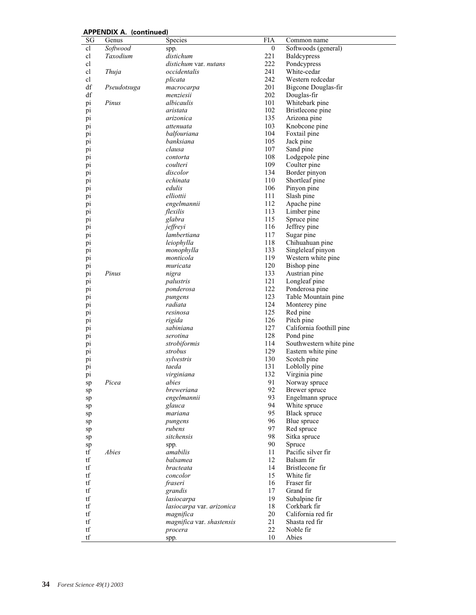|                        | AFFLIVUIA A. (COIRTUGA) |                           |            |                          |
|------------------------|-------------------------|---------------------------|------------|--------------------------|
| SG                     | Genus                   | Species                   | <b>FIA</b> | Common name              |
| cl                     | Softwood                | spp.                      | 0          | Softwoods (general)      |
| cl                     | Taxodium                | distichum                 | 221        | Baldcypress              |
| cl                     |                         | distichum var. nutans     | 222        | Pondcypress              |
| cl                     | Thuja                   | occidentalis              | 241        | White-cedar              |
| cl                     |                         | plicata                   | 242        | Western redcedar         |
| df                     | Pseudotsuga             |                           | 201        | Bigcone Douglas-fir      |
|                        |                         | macrocarpa                |            |                          |
| df                     |                         | menziesii                 | 202        | Douglas-fir              |
| pi                     | Pinus                   | albicaulis                | 101        | Whitebark pine           |
| pi                     |                         | aristata                  | 102        | Bristlecone pine         |
| pi                     |                         | arizonica                 | 135        | Arizona pine             |
| pi                     |                         | attenuata                 | 103        | Knobcone pine            |
| pi                     |                         | balfouriana               | 104        | Foxtail pine             |
|                        |                         |                           |            |                          |
| pi                     |                         | banksiana                 | 105        | Jack pine                |
| pi                     |                         | clausa                    | 107        | Sand pine                |
| pi                     |                         | contorta                  | 108        | Lodgepole pine           |
| pi                     |                         | coulteri                  | 109        | Coulter pine             |
| pi                     |                         | discolor                  | 134        | Border pinyon            |
| pi                     |                         | echinata                  | 110        | Shortleaf pine           |
|                        |                         | edulis                    | 106        |                          |
| pi                     |                         |                           |            | Pinyon pine              |
| pi                     |                         | elliottii                 | 111        | Slash pine               |
| pi                     |                         | engelmannii               | 112        | Apache pine              |
| pi                     |                         | flexilis                  | 113        | Limber pine              |
| pi                     |                         | glabra                    | 115        | Spruce pine              |
| pi                     |                         | jeffreyi                  | 116        | Jeffrey pine             |
|                        |                         | lambertiana               | 117        | Sugar pine               |
| pi                     |                         |                           |            |                          |
| pi                     |                         | leiophylla                | 118        | Chihuahuan pine          |
| pi                     |                         | monophylla                | 133        | Singleleaf pinyon        |
| pi                     |                         | monticola                 | 119        | Western white pine       |
| pi                     |                         | muricata                  | 120        | Bishop pine              |
| pi                     | Pinus                   | nigra                     | 133        | Austrian pine            |
| pi                     |                         | palustris                 | 121        | Longleaf pine            |
|                        |                         |                           | 122        |                          |
| pi                     |                         | ponderosa                 |            | Ponderosa pine           |
| pi                     |                         | pungens                   | 123        | Table Mountain pine      |
| pi                     |                         | radiata                   | 124        | Monterey pine            |
| pi                     |                         | resinosa                  | 125        | Red pine                 |
| pi                     |                         | rigida                    | 126        | Pitch pine               |
| pi                     |                         | sabiniana                 | 127        | California foothill pine |
|                        |                         | serotina                  | 128        |                          |
| pi                     |                         |                           |            | Pond pine                |
| pi                     |                         | strobiformis              | 114        | Southwestern white pine  |
| pi                     |                         | strobus                   | 129        | Eastern white pine       |
| pi                     |                         | sylvestris                | 130        | Scotch pine              |
| pi                     |                         | taeda                     | 131        | Loblolly pine            |
| pi                     |                         | virginiana                | 132        | Virginia pine            |
|                        | Picea                   | abies                     | 91         | Norway spruce            |
| sp                     |                         | breweriana                | 92         |                          |
| sp                     |                         |                           |            | Brewer spruce            |
| sp                     |                         | engelmannii               | 93         | Engelmann spruce         |
| sp                     |                         | glauca                    | 94         | White spruce             |
| sp                     |                         | mariana                   | 95         | <b>Black spruce</b>      |
| sp                     |                         | pungens                   | 96         | Blue spruce              |
| sp                     |                         | rubens                    | 97         | Red spruce               |
|                        |                         | sitchensis                | 98         | Sitka spruce             |
| sp                     |                         |                           |            |                          |
| sp                     |                         | spp.                      | 90         | Spruce                   |
| tf                     | Abies                   | amabilis                  | 11         | Pacific silver fir       |
| tf                     |                         | balsamea                  | 12         | Balsam fir               |
| tf                     |                         | bracteata                 | 14         | Bristlecone fir          |
| $\mathop{\mathrm{tf}}$ |                         | concolor                  | 15         | White fir                |
| tf                     |                         | fraseri                   | 16         | Fraser fir               |
|                        |                         |                           |            |                          |
| tf                     |                         | grandis                   | 17         | Grand fir                |
| $\mathop{\mathrm{tf}}$ |                         | lasiocarpa                | 19         | Subalpine fir            |
| tf                     |                         | lasiocarpa var. arizonica | 18         | Corkbark fir             |
| tf                     |                         | magnifica                 | 20         | California red fir       |
| $\mathop{\mathrm{tf}}$ |                         | magnifica var. shastensis | 21         | Shasta red fir           |
| tf                     |                         | procera                   | 22         | Noble fir                |
| $\mathop{\mathrm{tf}}$ |                         | spp.                      | 10         | Abies                    |
|                        |                         |                           |            |                          |